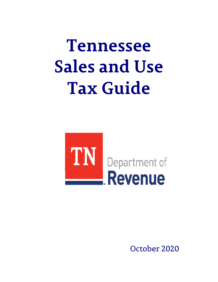# **Tennessee Sales and Use Tax Guide**



October 2020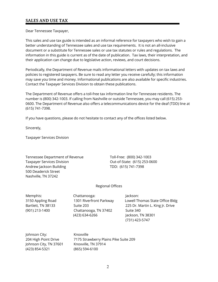Dear Tennessee Taxpayer,

This sales and use tax guide is intended as an informal reference for taxpayers who wish to gain a better understanding of Tennessee sales and use tax requirements. It is not an all-inclusive document or a substitute for Tennessee sales or use tax statutes or rules and regulations. The information in this guide is current as of the date of publication. Tax laws, their interpretation, and their application can change due to legislative action, reviews, and court decisions.

Periodically, the Department of Revenue mails informational letters with updates on tax laws and policies to registered taxpayers. Be sure to read any letter you receive carefully; this information may save you time and money. Informational publications are also available for specific industries. Contact the Taxpayer Services Division to obtain these publications.

The Department of Revenue offers a toll-free tax information line for Tennessee residents. The number is (800) 342-1003. If calling from Nashville or outside Tennessee, you may call (615) 253- 0600. The Department of Revenue also offers a telecommunications device for the deaf (TDD) line at (615) 741-7398.

If you have questions, please do not hesitate to contact any of the offices listed below.

Sincerely,

Taxpayer Services Division

Tennessee Department of Revenue Toll-Free: (800) 342-1003 Taxpayer Services Division Current Cout-of-State: (615) 253-0600 Andrew Jackson Building TDD: (615) 741-7398 500 Deaderick Street Nashville, TN 37242

#### Regional Offices

Memphis: Chattanooga: Jackson: (901) 213-1400 Chattanooga, TN 37402 Suite 340 (423) 634-6266 Jackson, TN 38301

3150 Appling Road 1301 Riverfront Parkway Lowell Thomas State Office Bldg Bartlett, TN 38133 Suite 203 225 Dr. Martin L. King Jr. Drive (731) 423-5747

Johnson City: Knoxville Johnson City, TN 37601 Knoxville, TN 37914 (423) 854-5321 (865) 594-6100

204 High Point Drive 7175 Strawberry Plains Pike Suite 209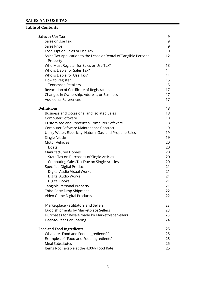# **Table of Contents**

| <b>Sales or Use Tax</b>                                           | 9  |
|-------------------------------------------------------------------|----|
| Sales or Use Tax                                                  | 9  |
| <b>Sales Price</b>                                                | 9  |
| Local Option Sales or Use Tax                                     | 10 |
| Sales Tax Application to the Lease or Rental of Tangible Personal | 12 |
| Property                                                          |    |
| Who Must Register for Sales or Use Tax?                           | 13 |
| Who is Liable for Sales Tax?                                      | 14 |
| Who is Liable for Use Tax?                                        | 14 |
| How to Register                                                   | 15 |
| <b>Tennessee Retailers</b>                                        | 15 |
| Revocation of Certificate of Registration                         | 17 |
| Changes in Ownership, Address, or Business                        | 17 |
| <b>Additional References</b>                                      | 17 |
| <b>Definitions</b>                                                | 18 |
| Business and Occasional and Isolated Sales                        | 18 |
| Computer Software                                                 | 18 |
| Customized and Prewritten Computer Software                       | 18 |
| Computer Software Maintenance Contract                            | 19 |
| Utility Water, Electricity, Natural Gas, and Propane Sales        | 19 |
| Single Article                                                    | 19 |
| <b>Motor Vehicles</b>                                             | 20 |
| <b>Boats</b>                                                      | 20 |
| <b>Manufactured Homes</b>                                         | 20 |
| State Tax on Purchases of Single Articles                         | 20 |
| Computing Sales Tax Due on Single Articles                        | 20 |
| <b>Specified Digital Products</b>                                 | 21 |
| Digital Audio-Visual Works                                        | 21 |
| Digital Audio Works                                               | 21 |
| <b>Digital Books</b>                                              | 21 |
| Tangible Personal Property                                        | 21 |
| Third Party Drop Shipment                                         | 22 |
| Video Game Digital Products                                       | 22 |
| Marketplace Facilitators and Sellers                              | 23 |
| Drop shipments by Marketplace Sellers                             | 23 |
| Purchases for Resale made by Marketplace Sellers                  | 23 |
| Peer-to-Peer Car Sharing                                          | 24 |
| <b>Food and Food Ingredients</b>                                  | 25 |
| What are "Food and Food Ingredients?"                             | 25 |
| Examples of "Food and Food Ingredients"                           | 25 |
| <b>Meal Substitutes</b>                                           | 25 |
| Items Not Taxable at the 4.00% Food Rate                          | 25 |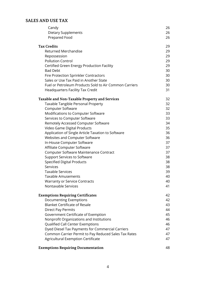| Candy                                                  | 26 |
|--------------------------------------------------------|----|
| Dietary Supplements                                    | 26 |
| Prepared Food                                          | 26 |
|                                                        |    |
| <b>Tax Credits</b>                                     | 29 |
| <b>Returned Merchandise</b>                            | 29 |
| Repossession                                           | 29 |
| <b>Pollution Control</b>                               | 29 |
| Certified Green Energy Production Facility             | 29 |
| <b>Bad Debt</b>                                        | 30 |
| <b>Fire Protection Sprinkler Contractors</b>           | 30 |
| Sales or Use Tax Paid in Another State                 | 30 |
| Fuel or Petroleum Products Sold to Air Common Carriers | 30 |
| <b>Headquarters Facility Tax Credit</b>                | 31 |
| Taxable and Non-Taxable Property and Services          | 32 |
| Taxable Tangible Personal Property                     | 32 |
|                                                        | 32 |
| Computer Software                                      |    |
| Modifications to Computer Software                     | 33 |
| Services to Computer Software                          | 33 |
| Remotely Accessed Computer Software                    | 34 |
| Video Game Digital Products                            | 35 |
| Application of Single Article Taxation to Software     | 36 |
| <b>Websites and Computer Software</b>                  | 36 |
| In-House Computer Software                             | 37 |
| Affiliate Computer Software                            | 37 |
| Computer Software Maintenance Contract                 | 37 |
| <b>Support Services to Software</b>                    | 38 |
| <b>Specified Digital Products</b>                      | 38 |
| Services                                               | 38 |
| <b>Taxable Services</b>                                | 39 |
| <b>Taxable Amusements</b>                              | 40 |
| <b>Warranty or Service Contracts</b>                   | 40 |
| Nontaxable Services                                    | 41 |
| <b>Exemptions Requiring Certificates</b>               | 42 |
| Documenting Exemptions                                 | 42 |
| <b>Blanket Certificate of Resale</b>                   | 43 |
| <b>Direct Pay Permits</b>                              | 44 |
| Government Certificate of Exemption                    | 45 |
| Nonprofit Organizations and Institutions               | 46 |
| Qualified Call Center Exemptions                       | 46 |
|                                                        |    |
| Dyed Diesel Tax Payments for Commercial Carriers       | 47 |
| Common Carrier Permit to Pay Reduced Sales Tax Rates   | 47 |
| Agricultural Exemption Certificate                     | 47 |
| <b>Exemptions Requiring Documentation</b>              | 48 |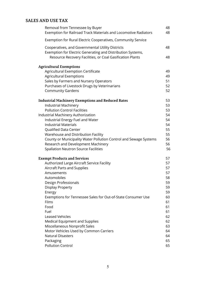| Removal from Tennessee by Buyer                                                                                                                                                                                               | 48                         |
|-------------------------------------------------------------------------------------------------------------------------------------------------------------------------------------------------------------------------------|----------------------------|
| Exemption for Railroad Track Materials and Locomotive Radiators                                                                                                                                                               | 48                         |
| Exemption for Rural Electric Cooperatives, Community Service                                                                                                                                                                  |                            |
| Cooperatives, and Governmental Utility Districts<br>Exemption for Electric Generating and Distribution Systems,<br>Resource Recovery Facilities, or Coal Gasification Plants                                                  | 48<br>48                   |
| <b>Agricultural Exemptions</b><br>Agricultural Exemption Certificate<br><b>Agricultural Exemptions</b><br>Sales by Farmers and Nursery Operators<br>Purchases of Livestock Drugs by Veterinarians<br><b>Community Gardens</b> | 49<br>49<br>51<br>52<br>52 |
| <b>Industrial Machinery Exemptions and Reduced Rates</b>                                                                                                                                                                      | 53                         |
| <b>Industrial Machinery</b>                                                                                                                                                                                                   | 53                         |
| <b>Pollution Control Facilities</b>                                                                                                                                                                                           | 53                         |
| Industrial Machinery Authorization                                                                                                                                                                                            | 54                         |
| Industrial Energy Fuel and Water                                                                                                                                                                                              | 54                         |
| <b>Industrial Materials</b>                                                                                                                                                                                                   | 54                         |
| Qualified Data Center                                                                                                                                                                                                         | 55                         |
| Warehouse and Distribution Facility                                                                                                                                                                                           | 55                         |
| County or Municipality Water Pollution Control and Sewage Systems                                                                                                                                                             | 56                         |
| Research and Development Machinery                                                                                                                                                                                            | 56                         |
| <b>Spallation Neutron Source Facilities</b>                                                                                                                                                                                   | 56                         |
| <b>Exempt Products and Services</b>                                                                                                                                                                                           | 57                         |
| Authorized Large Aircraft Service Facility                                                                                                                                                                                    | 57                         |
| Aircraft Parts and Supplies                                                                                                                                                                                                   | 57                         |
| Amusements                                                                                                                                                                                                                    | 57                         |
| Automobiles                                                                                                                                                                                                                   | 58                         |
| Design Professionals                                                                                                                                                                                                          | 59                         |
| Display Property                                                                                                                                                                                                              | 59                         |
| Energy                                                                                                                                                                                                                        | 59                         |
| Exemptions for Tennessee Sales for Out-of-State Consumer Use                                                                                                                                                                  | 60                         |
| Films                                                                                                                                                                                                                         | 61                         |
| Food                                                                                                                                                                                                                          | 61                         |
| Fuel                                                                                                                                                                                                                          | 61                         |
| <b>Leased Vehicles</b>                                                                                                                                                                                                        | 62                         |
| Medical Equipment and Supplies                                                                                                                                                                                                | 62                         |
| Miscellaneous Nonprofit Sales                                                                                                                                                                                                 | 63                         |
| Motor Vehicles Used by Common Carriers                                                                                                                                                                                        | 64                         |
| <b>Natural Disasters</b>                                                                                                                                                                                                      | 64                         |
| Packaging                                                                                                                                                                                                                     | 65                         |
| <b>Pollution Control</b>                                                                                                                                                                                                      | 65                         |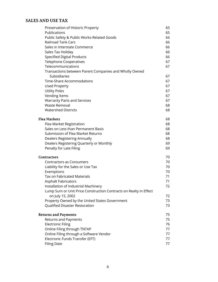| Preservation of Historic Property                                 | 65 |
|-------------------------------------------------------------------|----|
| Publications                                                      | 65 |
| Public Safety & Public Works-Related Goods                        | 66 |
| <b>Railroad Tank Cars</b>                                         | 66 |
| Sales in Interstate Commerce                                      | 66 |
| Sales Tax Holiday                                                 | 66 |
| <b>Specified Digital Products</b>                                 | 66 |
| <b>Telephone Cooperatives</b>                                     | 67 |
| Telecommunications                                                | 67 |
| Transactions between Parent Companies and Wholly Owned            |    |
| Subsidiaries                                                      | 67 |
| Time-Share Accommodations                                         | 67 |
| <b>Used Property</b>                                              | 67 |
| <b>Utility Poles</b>                                              | 67 |
| Vending Items                                                     | 67 |
| <b>Warranty Parts and Services</b>                                | 67 |
| <b>Waste Removal</b>                                              | 68 |
| <b>Watershed Districts</b>                                        | 68 |
| Flea Markets                                                      | 68 |
| Flea Market Registration                                          | 68 |
| Sales on Less than Permanent Basis                                | 68 |
| Submission of Flea Market Returns                                 | 68 |
| Dealers Registering Annually                                      | 68 |
| Dealers Registering Quarterly or Monthly                          | 69 |
| Penalty for Late Filing                                           | 69 |
| Contractors                                                       | 70 |
| <b>Contractors as Consumers</b>                                   | 70 |
| Liability for the Sales or Use Tax                                | 70 |
| Exemptions                                                        | 70 |
| <b>Tax on Fabricated Materials</b>                                | 71 |
| <b>Asphalt Fabricators</b>                                        | 71 |
| Installation of Industrial Machinery                              | 72 |
| Lump Sum or Unit Price Construction Contracts on Realty in Effect |    |
| on July 15, 2002                                                  | 72 |
| Property Owned by the United States Government                    | 73 |
| Qualified Disaster Restoration                                    | 73 |
| <b>Returns and Payments</b>                                       | 75 |
| Returns and Payments                                              | 75 |
| <b>Electronic Filing</b>                                          | 76 |
| Online Filing through TNTAP                                       | 77 |
| Online Filing through a Software Vendor                           | 77 |
| Electronic Funds Transfer (EFT)                                   | 77 |
| <b>Filing Date</b>                                                | 77 |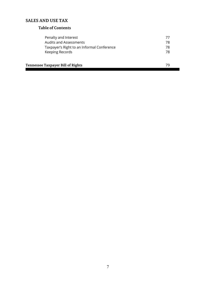# **Table of Contents**

| Penalty and Interest                       |    |  |
|--------------------------------------------|----|--|
| <b>Audits and Assessments</b>              | 78 |  |
| Taxpayer's Right to an Informal Conference | 78 |  |
| Keeping Records                            | 78 |  |
|                                            |    |  |
| Tennessee Taxpayer Bill of Rights          |    |  |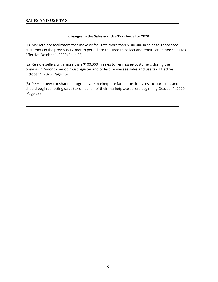# **Changes to the Sales and Use Tax Guide for 2020**

(1) Marketplace facilitators that make or facilitate more than \$100,000 in sales to Tennessee customers in the previous 12-month period are required to collect and remit Tennessee sales tax. Effective October 1, 2020 (Page 23)

(2) Remote sellers with more than \$100,000 in sales to Tennessee customers during the previous 12-month period must register and collect Tennessee sales and use tax. Effective October 1, 2020 (Page 16)

(3) Peer-to-peer car sharing programs are marketplace facilitators for sales tax purposes and should begin collecting sales tax on behalf of their marketplace sellers beginning October 1, 2020. (Page 23)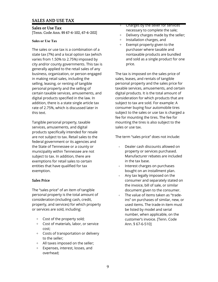**Sales or Use Tax** [Tenn. Code Ann. §§ 67-6-102, 67-6-202]

#### **Sales or Use Tax**

The sales or use tax is a combination of a state tax (7%) and a local option tax (which varies from 1.50% to 2.75%) imposed by city and/or county governments. This tax is generally applied to the retail sales of any business, organization, or person engaged in making retail sales, including the selling, leasing, or renting of tangible personal property and the selling of certain taxable services, amusements, and digital products specified in the law. In addition, there is a state single article tax rate of 2.75%, which is discussed later in this text.

Tangible personal property, taxable services, amusements, and digital products specifically intended for resale are not subject to tax. Retail sales to the federal government or its agencies and the State of Tennessee or a county or municipality within Tennessee are not subject to tax. In addition, there are exemptions for retail sales to certain entities that have qualified for tax exemption.

#### **Sales Price**

The "sales price" of an item of tangible personal property is the total amount of consideration (including cash, credit, property, and services) for which property or services are sold, including:

- + Cost of the property sold;
- + Cost of materials, labor, or service cost;
- + Costs of transportation or delivery to the seller;
- + All taxes imposed on the seller;
- Expenses, interest, losses, and overhead;
- + Charges by the seller for services necessary to complete the sale;
- + Delivery charges made by the seller;
- + Installation charges, and
- + Exempt property given to the purchaser where taxable and nontaxable products are bundled and sold as a single product for one price.

The tax is imposed on the sales price of sales, leases, and rentals of tangible personal property and the sales price for taxable services, amusements, and certain digital products*.* It is the total amount of consideration for which products that are subject to tax are sold. For example: A consumer buying four automobile tires subject to the sales or use tax is charged a fee for mounting the tires. The fee for mounting the tires is also subject to the sales or use tax.

The term "sales price" does not include:

- + Dealer cash discounts allowed on property or services purchased. Manufacturer rebates are included in the tax base.
- + Interest charges on purchases bought on an installment plan.
- + Any tax legally imposed on the consumer and separately stated on the invoice, bill of sale, or similar document given to the consumer.
- + The value of items taken as "tradeins" on purchases of similar, new, or used items. The trade-in item must be listed by model and serial number, when applicable, on the customer's invoice. [Tenn. Code Ann. § 67-6-510]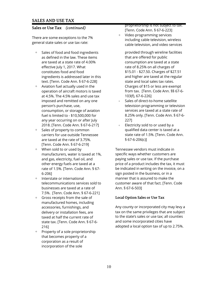There are some exceptions to the 7% general state sales or use tax rate:

- Sales of food and food ingredients **provided through wireline facilities** as defined in the law. These items that are offered for public are taxed at a state rate of 4.00% consumption are taxed at a state effective July 1, 2017. What rate of 8.25% on all charges of constitutes food and food \$15.01 - \$27.50. Charges of \$27.51 ingredients is addressed later in this and higher are taxed at the regular text. [Tenn. Code Ann. § 67-6-228] state and local sales tax rates.
- + Aviation fuel actually used in the Charges of \$15 or less are exempt at 4.5%. The 4.5% sales and use tax 103(f), 67-6-226] imposed and remitted on any one  $\overline{a}$   $\overline{b}$  Sales of direct-to-home satellite any year occurring on or after July 227] 2018. [Tenn. Code Ann. § 67-6-217]  $+$  Electricity sold to or used by a
- + Sales of property to common qualified data center is taxed at a are taxed at the rate of  $3.75\%$ .  $\S 67-6-206(c)$ [Tenn. Code Ann. § 67-6-219]
- + When sold to or used by Tennessee vendors must indicate in 6-206] sign posted in the business, or in a
- + Interstate or international manner that is assured to make the businesses are taxed at a rate of Ann. § 67-6-503] 7.5%. [Tenn. Code Ann. § 67-6-221]
- + Gross receipts from the sale of **Local Option Sales or Use Tax** manufactured homes, including delivery or installation fees, are taxed at half the current rate of state tax. [Tenn. Code Ann. § 67-6- 216]
- + Property of a sole proprietorship that becomes property of a corporation as a result of incorporation of the sole

proprietorship is not subject to tax. [Tenn. Code Ann. § 67-6-223]

Video programming services including cable television, wireless cable television, and video services

operation of aircraft motors is taxed from tax. [Tenn. Code Ann. §§ 67-6-

- person's purchase, use, the same of television programming or television programming or television consumption, or storage of aviation services are taxed at a state rate of fuel is limited to - \$10,500,000 for 8.25% only. [Tenn. Code Ann. § 67-6-
- carriers for use outside Tennessee state rate of 1.5%. [Tenn. Code Ann.

manufacturers, water is taxed at 1%, specific ways whether customers are and gas, electricity, fuel oil, and paying sales or use tax. If the purchase other energy fuels are taxed at a price of a product includes the tax, it must rate of 1.5%. [Tenn. Code Ann. § 67- be indicated in writing on the invoice, on a telecommunications services sold to customer aware of that fact. [Tenn. Code

accessories, furnishings, and Any county or incorporated city may levy a tax on the same privileges that are subject to the state's sales or use tax; all counties and some incorporated cities have adopted a local option tax of up to 2.75%.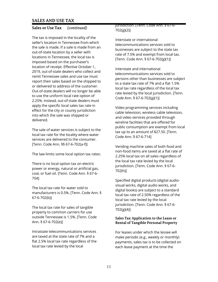The tax is imposed in the locality of the seller's location in Tennessee from which the sale is made. If a sale is made from an out-of-state location by a seller with locations in Tennessee, the local tax is imposed based on the purchaser's location of receipt. Effective October 1, 2019, out-of-state dealers who collect and remit Tennessee sales and use tax must report their sales based on the shipped to or delivered to address of the customer. Out-of-state dealers will no longer be able to use the uniform local rate option of 2.25%. Instead, out-of-state dealers must apply the specific local sales tax rate in effect for the city or county jurisdiction into which the sale was shipped or delivered.

The sale of water services is subject to the local tax rate for the locality where water services are delivered to the consumer. [Tenn. Code Ann. §§ 67-6-702(a-f)]

The law limits some local option tax rates:

There is no local option tax on electric power or energy, natural or artificial gas, coal, or fuel oil. [Tenn. Code Ann. § 67-6- 704]

The local tax rate for water sold to manufacturers is 0.5%. [Tenn. Code Ann. § 67-6-702(b)]

The local tax rate for sales of tangible property to common carriers for use outside Tennessee is 1.5%. [Tenn. Code Ann. § 67-6-702(e)]

Intrastate telecommunications services are taxed at the state rate of 7% and a flat 2.5% local tax rate regardless of the local tax rate levied by the local

# jurisdiction. [Tenn. Code Ann. § 67-6- 702(g)(2)]

Interstate or international telecommunications services sold to businesses are subject to the state tax rate of 7.5% and exempt from local tax. [Tenn. Code Ann. § 67-6-702(g)(1)]

Interstate and international telecommunications services sold to persons other than businesses are subject to a state tax rate of 7% and a flat 1.5% local tax rate regardless of the local tax rate levied by the local jurisdiction. [Tenn. Code Ann. § 67-6-702(g)(1)]

Video programming services including cable television, wireless cable television, and video services provided through wireline facilities that are offered for public consumption are exempt from local tax up to an amount of \$27.50. [Tenn. Code Ann. § 67-6-714]

Vending machine sales of both food and non-food items are taxed at a flat rate of 2.25% local tax on all sales regardless of the local tax rate levied by the local jurisdiction. [Tenn. Code Ann. § 67-6- 702(h)]

Specified digital products (digital audiovisual works, digital audio works, and digital books) are subject to a standard local tax rate of 2.50% regardless of the local tax rate levied by the local jurisdiction. [Tenn. Code Ann. § 67-6- 702(g)(4)]

# **Sales Tax Application to the Lease or Rental of Tangible Personal Property**

For leases under which the lessee will make periodic (e.g., weekly or monthly) payments, sales tax is to be collected on each lease payment at the time the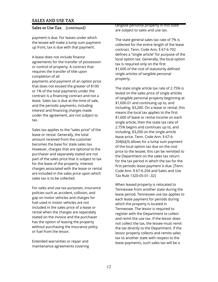payment is due. For leases under which the lessee will make a lump sum payment up front, tax is due with that payment.

A lease does not include finance agreements for the transfer of possession or control of property. A contract that requires the transfer of title upon completion of all payments and payment of an option price that does not exceed the greater of \$100 or 1% of the total payments under the contract is a financing contract and not a lease. Sales tax is due at the time of sale, and the periodic payments, including interest and financing charges made under the agreement, are not subject to tax.

Sales tax applies to the "sales price" of the lease or rental. Generally, the total amount received from the customer becomes the base for state sales tax. However, charges that are optional to the purchaser and separately stated are not part of the sales price that is subject to tax for the lease of the property. Interest charges associated with the lease or rental are included in the sales price upon which sales tax is to be collected.

For sales and use tax purposes, insurance policies such as accident, collision, and gap on motor vehicles and charges for fuel used in motor vehicles are not included in the sales price of a lease or rental when the charges are separately stated on the invoice and the purchaser has the option of leasing the property without purchasing the insurance policy or fuel from the lessor.

Extended warranties or repair and maintenance agreements covering tangible personal property in this state are subject to sales and use tax.

The state general sales tax rate of 7% is collected for the entire length of the lease contract. Tenn. Code Ann. § 67-6-702 defines a "single article" for purpose of the local option tax. Generally, the local option tax is required only on the first \$1,600 of the cost of statutorily defined single articles of tangible personal property.

The state single article tax rate of 2.75% is levied on the sales price of single articles of tangible personal property beginning at \$1,600.01 and continuing up to, and including, \$3,200. On a lease or rental, this means the local tax applies to the first \$1,600 of lease or rental income on each single article, then the state tax rate of 2.75% begins and continues up to, and including, \$3,200 on the single article lease price. Tenn. Code Ann. § 67-6- 204(b)(3) allows for a lump sum payment of the local option tax due on the cost price to the lessee; this can be remitted to the Department on the sales tax return for the tax period in which the tax for the first periodic lease payment is due. [Tenn. Code Ann. § 67-6-204 and Sales and Use Tax Rule 1320-05-01-.32]

When leased property is relocated to Tennessee from another state during the lease period, Tennessee use tax applies to each lease payment for periods during which the property is located in Tennessee. The lessor is required to register with the Department to collect and remit the use tax. If the lessor does not collect the tax, the lessee must remit the tax directly to the Department. If the lessor properly collects and remits sales tax to another state with respect to the lease payments, such sales tax will be a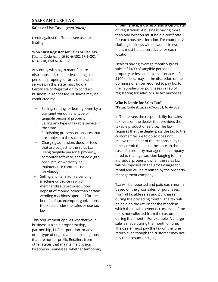#### **Sales or Use Tax** *(continued)*

credit against the Tennessee use tax liability.

**Who Must Register for Sales or Use Tax** [Tenn. Code Ann. §§ 67-6-102, 67-6-201, 67-6-210, and 67-6-602]

Any entity wishing to manufacture, distribute, sell, rent, or lease tangible personal property, or provide taxable services, in this state must hold a Certificate of Registration to conduct business in Tennessee. Business may be conducted by:

- + Selling, renting, or leasing, even by a transient vendor, any type of tangible personal property
- + Selling any type of taxable service in the state
- + Furnishing property or services that are subject to the sales tax
- + Charging admission, dues, or fees that are subject to the sales tax
- + Using tangible personal property, computer software, specified digital products, or warranty or maintenance contracts not previously taxed.
- + Selling any item from a vending machine or device in which merchandise is provided upon deposit of money, other than certain vending machines operated for the benefit of tax-exempt organizations, is taxable under the sales or use tax law.

This requirement applies whether your business is a sole proprietorship, partnership, LLC, corporation, or any other type of organization including those that are not for profit. Retailers from other states that maintain a physical location in Tennessee, whether temporary or permanent, must also hold a Certificate of Registration. A business having more than one location must hold a certificate for each business location. For example: A clothing business with locations in two malls must hold a certificate for each location.

Dealers having average monthly gross sales of \$400 of tangible personal property or less and taxable services of \$100 or less, may, at the discretion of the Commissioner, be required to pay tax to their suppliers on purchases in lieu of registering for sales or use tax purposes.

#### **Who is Liable for Sales Tax?**

[Tenn. Code Ann. §§ 67-6-501, 67-6-502]

In Tennessee, the responsibility for sales tax rests on the dealer that provides the taxable product or service. The law requires that the dealer pass the tax to the customer; failure to do so does not relieve the dealer of the responsibility to timely remit the tax to the state. In the case of a property management company hired to manage vacation lodging for an individual property owner, the sales tax will be imposed on the gross charge for rental and will be remitted by the property management company.

Tax will be reported and paid each month based on the gross sales, or purchases, from all taxable sales and purchases during the preceding month. The tax will be paid on the return for the month in which the taxable event occurs, even if the tax is not collected from the customer during that month. For example: A charge sale is made during the month of June. The dealer must pay the tax on the June return even though the customer may not pay the account until July.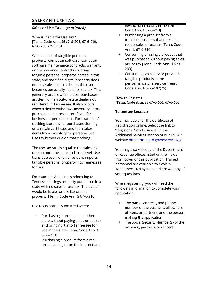**Sales or Use Tax** *(continued)*

**Who is Liable for Use Tax?**

[Tenn. Code Ann. §§ 67-6-203, 67-6-210, 67-6-208, 67-6-231]

When a user of tangible personal property, computer software, computer software maintenance contracts, warranty or maintenance contracts covering tangible personal property located in this state, and specified digital property does not pay sales tax to a dealer, the user becomes personally liable for the tax. This generally occurs when a user purchases articles from an out-of-state dealer not registered in Tennessee. It also occurs when a dealer withdraws inventory items purchased on a resale certificate for business or personal use. For example: A clothing store owner purchases clothing on a resale certificate and then takes items from inventory for personal use. Use tax is then due on that clothing.

The use tax rate is equal to the sales tax rate on both the state and local level. Use tax is due even when a resident imports tangible personal property into Tennessee for use.

For example: A business relocating to Tennessee brings property purchased in a state with no sales or use tax. The dealer would be liable for use tax on this property. [Tenn. Code Ann. § 67-6-210]

Use tax is normally incurred when:

- + Purchasing a product in another state without paying sales or use tax and bringing it into Tennessee for use in the state [Tenn. Code Ann. § 67-6-210]
- + Purchasing a product from a mailorder catalog or on the internet and

paying no sales or use tax [Tenn. Code Ann. § 67-6-210]

- + Purchasing a product from a transient business that does not collect sales or use tax [Tenn. Code Ann. § 67-6-210]
- + Consuming or using a product that was purchased without paying sales or use tax [Tenn. Code Ann. § 67-6- 203]
- + Consuming, as a service provider, tangible products in the performance of a service [Tenn. Code Ann. § 67-6-102(75)]

# **How to Register**

[Tenn. Code Ann. §§ 67-6-601, 67-6-602]

# **Tennessee Retailers**

You may apply for the Certificate of Registration online. Select the link to "Register a New Business" in the Additional Services section of our TNTAP website https://tntap.tn.gov/eservices//.

You may also visit one of the Department of Revenue offices listed on the inside front cover of this publication. Trained personnel are available to explain Tennessee's tax system and answer any of your questions.

When registering, you will need the following information to complete your application:

- + The name, address, and phone number of the business, all owners, officers, or partners, and the person making the application
- + The Social Security Number(s) of the owner(s), partners, or officers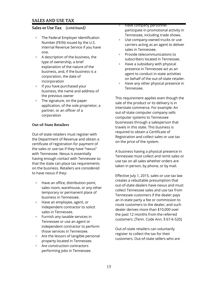- + The Federal Employer Identification Number (FEIN) issued by the U.S. Internal Revenue Service if you have one.
- + A description of the business, the type of ownership, a brief explanation of the nature of the business, and, if the business is a corporation, the date of incorporation
- + If you have purchased your business, the name and address of the previous owner
- + The signature, on the paper application, of the sole proprietor, a partner, or an officer of a corporation

# **Out-of-State Retailers**

Out-of-state retailers must register with the Department of Revenue and obtain a certificate of registration for payment of the sales or use tax if they have "nexus" with Tennessee. Nexus is essentially having enough contact with Tennessee so that the state can place tax requirements on the business. Retailers are considered to have nexus if they:

- + Have an office, distribution point, sales room, warehouse, or any other temporary or permanent place of business in Tennessee.
- + Have an employee, agent, or independent contractor to solicit sales in Tennessee.
- + Furnish any taxable services in Tennessee or use an agent or independent contractor to perform those services in Tennessee.
- + Are the lessors of tangible personal property located in Tennessee.
- + Are construction contractors performing jobs in Tennessee.
- + Have company personnel participate in promotional activity in Tennessee, including trade shows.
- + Use company-owned trucks or use carriers acting as an agent to deliver sales in Tennessee.
- + Provide telecommunications to subscribers located in Tennessee.
- $+$  Have a subsidiary with physical presence in Tennessee act as an agent to conduct in-state activities on behalf of the out-of-state retailer.
- + Have any other physical presence in Tennessee.

This requirement applies even though the sale of the product or its delivery is in interstate commerce. For example: An out-of-state computer company sells computer systems to Tennessee businesses through a salesperson that travels in this state. This business is required to obtain a Certificate of Registration and collect sales or use tax on the price of the system.

A business having a physical presence in Tennessee must collect and remit sales or use tax on all sales whether orders are taken in person, by phone, or by mail.

Effective July 1, 2015, sales or use tax law creates a rebuttable presumption that out-of-state dealers have nexus and must collect Tennessee sales and use tax from Tennessee customers if the dealer pays an in-state party a fee or commission to route customers to the dealer, and such dealer derives more than \$10,000 over the past 12 months from the referred customers. [Tenn. Code Ann. § 67-6-520]

Out-of-state retailers can voluntarily register to collect the tax for their customers. Out-of-state sellers who are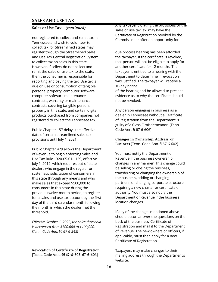not registered to collect and remit tax in Tennessee and wish to volunteer to collect tax for Streamlined states may register through the Streamlined Sales and Use Tax Central Registration System to collect tax on sales in this state. However, if sellers do not collect and remit the sales or use tax to the state, then the consumer is responsible for reporting and paying the tax. Use tax is due on use or consumption of tangible personal property, computer software, computer software maintenance contracts, warranty or maintenance contracts covering tangible personal property in this state, and certain digital products purchased from companies not registered to collect the Tennessee tax.

Public Chapter 157 delays the effective date of certain streamlined sales tax provisions until July 1, 2021.

Public Chapter 429 allows the Department of Revenue to begin enforcing Sales and Use Tax Rule 1320-05-01- .129, effective July 1, 2019, which requires out-of-state dealers who engage in the regular or systematic solicitation of consumers in this state through any means and who make sales that exceed \$500,000 to consumers in this state during the previous twelve-month period, to register for a sales and use tax account by the first day of the third calendar month following the month in which the dealer met the threshold.

*Effective October 1, 2020, the sales threshold is decreased from \$500,000 to \$100,000. [Tenn. Code Ann. §§ 67-6-543]* 

#### **Revocation of Certificate of Registration** [Tenn. Code Ann. §§ 67-6-603, 67-6-604]

Any taxpayer violating the provisions of the sales or use tax law may have the Certificate of Registration revoked by the Commissioner after an opportunity for a

due process hearing has been afforded the taxpayer. If the certificate is revoked, that person will not be eligible to apply for another certificate for 12 months. The taxpayer is entitled to a hearing with the Department to determine if revocation was justified. The taxpayer will receive a 10-day notice

of the hearing and be allowed to present evidence as to why the certificate should not be revoked.

Any person engaging in business as a dealer in Tennessee without a Certificate of Registration from the Department is guilty of a Class C misdemeanor. [Tenn. Code Ann. § 67-6-606]

# **Changes in Ownership, Address, or Business** [Tenn. Code Ann. § 67-6-602]

You must notify the Department of Revenue if the business ownership changes in any manner. This change could be selling or closing the business, transferring or changing the ownership of the business, adding or changing partners, or changing corporate structure requiring a new charter or certificate of authority. You must also notify the Department of Revenue if the business location changes.

If any of the changes mentioned above should occur, answer the questions on the back of the business' Certificate of Registration and mail it to the Department of Revenue. The new owners or officers, if applicable, must then apply for a new Certificate of Registration.

Taxpayers may make changes to their mailing address through the Department's website.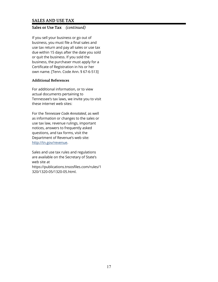# **Sales or Use Tax** *(continued)*

If you sell your business or go out of business, you must file a final sales and use tax return and pay all sales or use tax due within 15 days after the date you sold or quit the business. If you sold the business, the purchaser must apply for a Certificate of Registration in his or her own name. [Tenn. Code Ann. § 67-6-513]

# **Additional References**

For additional information, or to view actual documents pertaining to Tennessee's tax laws, we invite you to visit these internet web sites:

For the *Tennessee Code Annotated*, as well as information or changes to the sales or use tax law, revenue rulings, important notices, answers to frequently asked questions, and tax forms, visit the Department of Revenue's web site: http://tn.gov/revenue.

Sales and use tax rules and regulations are available on the Secretary of State's web site at https://publications.tnsosfiles.com/rules/1 320/1320-05/1320-05.html.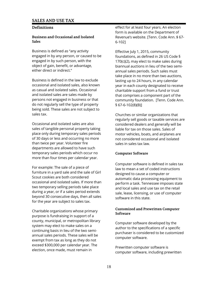# **Definitions**

#### **Business and Occasional and Isolated Sales**

Business is defined as "any activity engaged in by any person, or caused to be engaged in by such person, with the object of gain, benefit, or advantage, either direct or indirect."

Business is defined in the law to exclude occasional and isolated sales, also known as casual and isolated sales. Occasional and isolated sales are sales made by persons not engaged in business or that do not regularly sell the type of property being sold. These sales are not subject to sales tax.

Occasional and isolated sales are also sales of tangible personal property taking place only during temporary sales periods of 30 days or less and occurring no more than twice per year. Volunteer fire departments are allowed to have such temporary sales periods which occur no more than four times per calendar year.

For example: The sale of a piece of furniture in a yard sale and the sale of Girl Scout cookies are both considered occasional and isolated sales. If more than two temporary selling periods take place during a year, or if a sales period extends beyond 30 consecutive days, then all sales for the year are subject to sales tax.

Charitable organizations whose primary purpose is fundraising in support of a county, municipal, or metropolitan library system may elect to make sales on a continuing basis in lieu of the two semiannual sales periods. These sales will be exempt from tax as long as they do not exceed \$300,000 per calendar year. The election, once made, must remain in

effect for at least four years. An election form is available on the Department of Revenue's website. [Tenn. Code Ann. § 67- 6-102]

Effective July 1, 2015, community foundations, as defined in 26 US Code § 170(c)(2), may elect to make sales during biannual auctions in lieu of the two semiannual sales periods. Such sales must take place in no more than two auctions, lasting up to 24 hours, in any calendar year in each county designated to receive charitable support from a fund or trust that comprises a component part of the community foundation. [Tenn. Code Ann. § 67-6-102(8)(B)]

Churches or similar organizations that regularly sell goods or taxable services are considered dealers and generally will be liable for tax on those sales. Sales of motor vehicles, boats, and airplanes are not considered occasional and isolated sales in sales tax law.

#### **Computer Software**

Computer software is defined in sales tax law to mean a set of coded instructions designed to cause a computer or automatic data processing equipment to perform a task. Tennessee imposes state and local sales and use tax on the retail sale, lease, licensing, or use of computer software in this state.

# **Customized and Prewritten Computer Software**

Computer software developed by the author to the specifications of a specific purchaser is considered to be customized computer software.

Prewritten computer software is computer software, including prewritten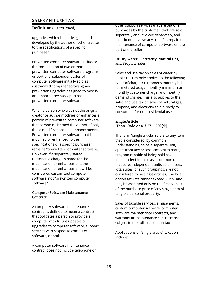# **Definitions** *(continued)*

upgrades, which is not designed and developed by the author or other creator to the specifications of a specific purchaser.

Prewritten computer software includes: the combination of two or more prewritten computer software programs or portions; subsequent sales of computer software initially sold as customized computer software; and prewritten upgrades designed to modify or enhance previously purchased prewritten computer software.

When a person who was not the original creator or author modifies or enhances a portion of prewritten computer software, that person is deemed the author of only those modifications and enhancements. Prewritten computer software that is modified or enhanced to the specifications of a specific purchaser remains "prewritten computer software." However, if a separately stated reasonable charge is made for the modification or enhancement, the modification or enhancement will be considered customized computer software, not "prewritten computer software."

#### **Computer Software Maintenance Contract**

A computer software maintenance contract is defined to mean a contract that obligates a person to provide a computer with future updates or upgrades to computer software, support services with respect to computer software, or both.

A computer software maintenance contract does not include telephone or other support services that are optional purchases by the customer, that are sold separately and invoiced separately, and that do not involve any transfer, repair, or maintenance of computer software on the part of the seller.

# **Utility Water, Electricity, Natural Gas, and Propane Sales**

Sales and use tax on sales of water by public utilities only applies to the following types of charges: customer's monthly bill for metered usage, monthly minimum bill, monthly customer charge, and monthly demand charge. This also applies to the sales and use tax on sales of natural gas, propane, and electricity sold directly to consumers for non-residential uses.

# **Single Article**

[Tenn. Code Ann. § 67-6-702(d)]

The term "single article" refers to any item that is considered, by common understanding, to be a separate unit, apart from any accessories, extra parts, etc., and capable of being sold as an independent item or as a common unit of measure. Independent units sold in sets, lots, suites, or such groupings, are not considered to be single articles. The local option tax rate cannot exceed 2.75% and may be assessed only on the first \$1,600 of the purchase price of any single item of tangible personal property.

Sales of taxable services, amusements, custom computer software, computer software maintenance contracts, and warranty or maintenance contracts are subject to the full local option tax.

Applications of "single article" taxation include: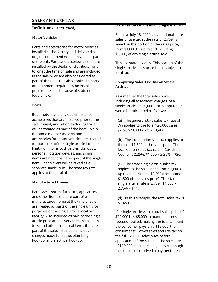# **Definitions** *(continued)*

# **Motor Vehicles**

Parts and accessories for motor vehicles installed at the factory and delivered as original equipment will be treated as part of the unit. Parts and accessories that are installed by the dealer or distributor prior to, or at the time of, sale and are included in the sale price are also considered as part of the unit. This also applies to parts or equipment required to be installed prior to the sale because of state or federal law.

# **Boats**

Boat motors and any dealer installed accessories that are installed prior to the sale*,* freight, and labor, excluding trailers, will be treated as part of the boat unit in the same manner as parts and accessories for motor vehicles are treated for purposes of the single article local tax limitation. Items such as skis, ski ropes, personal flotation devices, and similar items are not considered part of the single item. Boat trailers will be taxed as a separate single item. The state tax rate applies to the total bill of sale.

# **Manufactured Homes**

Parts, accessories, furniture, appliances, and other items that are part of a manufactured home at the time of sale are treated as parts of the single unit for purposes of the single article local tax liability. Also included as part of the single article price are delivery fees, installation fees, and other incidental items that are part of the sale. Installation includes charges made for setup, plumbing hookup, and electrical hookup.

#### **State Tax on Purchases of Single Articles**

Effective July 15, 2002, an additional state sales or use tax at the rate of 2.75% is levied on the portion of the sales price, from \$1,600.01 up to and including \$3,200, of any single article sold.

This is a state tax only. This portion of the single article sales price is not subject to local tax.

# **Computing Sales Tax Due on Single Articles**

Assume that the total sales price, including all associated charges, of a single article is \$20,000. Tax computation would be calculated as follows:

(a) The general state sales tax rate of 7% applies to the total \$20,000 sales price. \$20,000 x 7% = \$1,400.

(b) The local option sales tax applies to the first \$1,600 of the sales price. The local option sales tax rate in Davidson County is 2.25%. \$1,600 x 2.25% = \$36.

(c) The state single article sales tax applies to the sales price from \$1,600.01 up to and including \$3,200 (the second \$1,600 of the sales price). The state single article rate is 2.75%. \$1,600 x  $2.75% = $44.$ 

(d) In this example, the total sales tax is \$1,480.

If a single article with a total sales price of \$20,000 has \$5,000 in manufacturer's rebates applied, making the total amount the consumer pays only \$15,000, the consumer still owes sales and use tax on the full \$20,000 sales price before application of the rebates. The sales price of \$20,000 has not changed, even though the consumer received a payment break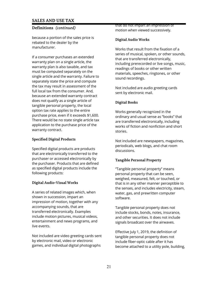# **Definitions** *(continued)*

because a portion of the sales price is rebated to the dealer by the manufacturer.

If a consumer purchases an extended warranty plan on a single article, the warranty plan is also taxable, and tax must be computed separately on the single article and the warranty. Failure to separately state the price and compute the tax may result in assessment of the full local tax from the consumer. And, because an extended warranty contract does not qualify as a single article of tangible personal property, the local option tax rate applies to the entire purchase price, even if it exceeds \$1,600. There would be no state single article tax application to the purchase price of the warranty contract.

# **Specified Digital Products**

Specified digital products are products that are electronically transferred to the purchaser or accessed electronically by the purchaser. Products that are defined as specified digital products include the following products:

# **Digital Audio-Visual Works**

A series of related images which, when shown in succession, impart an impression of motion, together with any accompanying sounds, that are transferred electronically. Examples include motion pictures, musical videos, entertainment and news programs, and live events.

Not included are video greeting cards sent by electronic mail, video or electronic games, and individual digital photographs

that do not impart an impression of motion when viewed successively.

# **Digital Audio Works**

Works that result from the fixation of a series of musical, spoken, or other sounds, that are transferred electronically, including prerecorded or live songs, music, readings of books or other written materials, speeches, ringtones, or other sound recordings.

Not included are audio greeting cards sent by electronic mail.

# **Digital Books**

Works generally recognized in the ordinary and usual sense as "books" that are transferred electronically, including works of fiction and nonfiction and short stories.

Not included are newspapers, magazines, periodicals, web blogs, and chat room discussions.

#### **Tangible Personal Property**

"Tangible personal property" means personal property that can be seen, weighed, measured, felt, or touched, or that is in any other manner perceptible to the senses, and includes electricity, steam, water, gas, and prewritten computer software.

Tangible personal property does not include stocks, bonds, notes, insurance, and other securities. It does not include signals broadcast over the airwaves.

Effective July 1, 2019, the definition of tangible personal property does not include fiber-optic cable after it has become attached to a utility pole, building,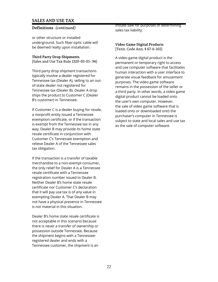## **Definitions** *(continued)*

or other structure or installed underground. Such fiber-optic cable will be deemed realty upon installation.

#### **Third Party Drop Shipments**

[Sales and Use Tax Rule 1320-05-01-.96]

Third party drop shipment transactions typically involve a dealer registered for Tennessee tax (Dealer A), selling to an outof-state dealer not registered for Tennessee tax (Dealer B). Dealer A drop ships the product to Customer C (Dealer B's customer) in Tennessee.

If Customer C is a dealer buying for resale, a nonprofit entity issued a Tennessee exemption certificate, or if the transaction is exempt from the Tennessee tax in any way, Dealer B may provide its home state resale certificate in conjunction with Customer C's Tennessee exemption and relieve Dealer A of the Tennessee sales tax obligation.

If the transaction is a transfer of taxable merchandise to a non-exempt consumer, the only relief for Dealer A is a Tennessee resale certificate with a Tennessee registration number issued to Dealer B. Neither Dealer B's home state resale certificate nor Customer C's declaration that it will pay use tax is of any value in exempting Dealer A. That Dealer B may not have a physical presence in Tennessee is not material in this situation.

Dealer B's home state resale certificate is not acceptable in this scenario because there is never a transfer of ownership or possession outside Tennessee. Because the shipment begins with a Tennesseeregistered dealer and ends with a Tennessee customer, the shipment is an

instate sale for purposes of determining sales tax liability.

**Video Game Digital Products** [Tenn. Code Ann. § 67-6-102]

A video game digital product is the permanent or temporary right to access and use computer software that facilitates human interaction with a user interface to generate visual feedback for amusement purposes. The video game software remains in the possession of the seller or a third party. In other words, a video game digital product cannot be loaded onto the user's own computer. However, the sale of video game software that is loaded onto or downloaded onto the purchaser's computer in Tennessee is subject to state and local sales and use tax as the sale of computer software.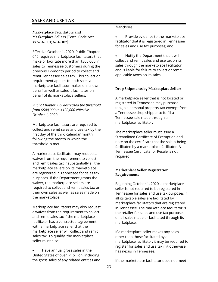# **Marketplace Facilitators and Marketplace Sellers** [Tenn. Code Ann. §§ 67-6-501; 67-6-102]

Effective October 1, 2020, Public Chapter 646 requires marketplace facilitators that make or facilitate more than \$500,000 in sales to Tennessee customers during the previous 12-month period to collect and remit Tennessee sales tax. This collection requirement applies to both sales a marketplace facilitator makes on its own behalf as well as sales it facilitates on behalf of its marketplace sellers.

*Public Chapter 759 decreased the threshold from \$500,000 to \$100,000 effective October 1, 2020.* 

Marketplace facilitators are required to collect and remit sales and use tax by the first day of the third calendar month following the month in which the threshold is met.

A marketplace facilitator may request a waiver from the requirement to collect and remit sales tax if substantially all the marketplace sellers on its marketplace are registered in Tennessee for sales tax purposes. If the Department grants the waiver, the marketplace sellers are required to collect and remit sales tax on their own sales as well as sales made on the marketplace.

Marketplace facilitators may also request a waiver from the requirement to collect and remit sales tax if the marketplace facilitator has a contractual agreement with a marketplace seller that the marketplace seller will collect and remit sales tax. To qualify, the marketplace seller must also:

**+** Have annual gross sales in the United States of over \$1 billion, including the gross sales of any related entities and

#### franchises;

**+** Provide evidence to the marketplace facilitator that it is registered in Tennessee for sales and use tax purposes; and

**+** Notify the Department that it will collect and remit sales and use tax on its sales through the marketplace facilitator and is liable for failure to collect or remit applicable taxes on its sales.

# **Drop Shipments by Marketplace Sellers**

A marketplace seller that is not located or registered in Tennessee may purchase tangible personal property tax-exempt from a Tennessee drop shipper to fulfill a Tennessee sale made through a marketplace facilitator.

The marketplace seller must issue a Streamlined Certificate of Exemption and note on the certificate that the sale is being facilitated by a marketplace facilitator. A Tennessee Certificate for Resale is not required.

# **Marketplace Seller Registration Requirements**

Beginning October 1, 2020, a marketplace seller is not required to be registered in Tennessee for sales and use tax purposes if all its taxable sales are facilitated by marketplace facilitators that are registered in Tennessee. The marketplace facilitator is the retailer for sales and use tax purposes on all sales made or facilitated through its marketplace.

If a marketplace seller makes any sales other than those facilitated by a marketplace facilitator, it may be required to register for sales and use tax if it otherwise has nexus in Tennessee.

If the marketplace facilitator does not meet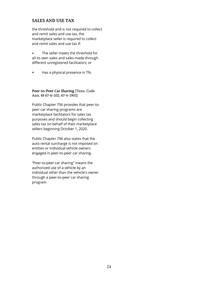the threshold and is not required to collect and remit sales and use tax, the marketplace seller is required to collect and remit sales and use tax if:

**+** The seller meets the threshold for all its own sales and sales made through different unregistered facilitators; or

**+** Has a physical presence in TN.

**Peer-to-Peer Car Sharing** [Tenn. Code Ann. §§ 67-6-102; 67-4-1901]

Public Chapter 796 provides that peer-topeer car sharing programs are marketplace facilitators for sales tax purposes and should begin collecting sales tax on behalf of their marketplace sellers beginning October 1, 2020.

Public Chapter 796 also states that the auto rental surcharge is not imposed on entities or individual vehicle owners engaged in peer-to-peer car sharing.

"Peer-to-peer car sharing" means the authorized use of a vehicle by an individual other than the vehicle's owner through a peer-to-peer car sharing program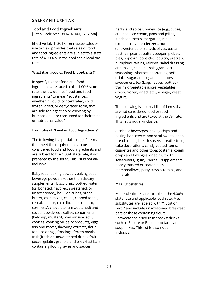# **Food and Food Ingredients**

[Tenn. Code Ann. §§ 67-6-102, 67-6-228]

Effective July 1, 2017, Tennessee sales or use tax law provides that sales of food and food ingredients are subject to a state rate of 4.00% plus the applicable local tax rate.

# **What Are "Food or Food Ingredients?"**

In specifying that food and food ingredients are taxed at the 4.00% state rate, the law defines "food and food ingredients" to mean "substances, whether in liquid, concentrated, solid, frozen, dried, or dehydrated form, that are sold for ingestion or chewing by humans and are consumed for their taste or nutritional value."

# **Examples of "Food or Food Ingredients"**

The following is a partial listing of items that meet the requirements to be considered food and food ingredients and are subject to the 4.00% state rate, if not prepared by the seller. This list is not allinclusive.

Baby food, baking powder, baking soda, beverage powders (other than dietary supplements), biscuit mix, bottled water (carbonated, flavored, sweetened, or unsweetened), bouillon cubes, bread, butter, cake mixes, cakes, canned foods, cereal, cheese, chip dip, chips (potato, corn, etc.), chocolate (unsweetened) and cocoa (powdered), coffee, condiments (ketchup, mustard, mayonnaise, etc.), cookies, cooking oil, dairy products, eggs, fish and meats, flavoring extracts, flour, food colorings, frostings, frozen meals, fruit (fresh or unsweetened dried), fruit juices, gelatin, granola and breakfast bars containing flour, gravies and sauces,

herbs and spices, honey, ice (e.g., cubes, crushed), ice cream, jams and jellies, luncheon meats, margarine, meat extracts, meat tenderizers, nuts (unsweetened or salted), olives, pasta, pastries, peanut butter, pepper, pickles, pies, popcorn, popsicles, poultry, pretzels, pumpkins, raisins, relishes, salad dressing and mixes, salad oil, salt (granular), seasonings, sherbet, shortening, soft drinks, sugar and sugar substitutes, sweeteners, tea (bags, leaves, bottled), trail mix, vegetable juices, vegetables (fresh, frozen, dried, etc.), vinegar, yeast, yogurt.

The following is a partial list of items that are not considered food or food ingredients and are taxed at the 7% rate. This list is not all-inclusive.

Alcoholic beverages, baking chips and baking bars (sweet and semi-sweet), beer, breath mints, breath sprays, breath strips, cake decorations, candy-coated items, cigarettes and other tobacco items, cough drops and lozenges, dried fruit with sweeteners, gum, herbal supplements, honey roasted or coated nuts, marshmallows, party trays, vitamins, and minerals.

# **Meal Substitutes**

Meal substitutes are taxable at the 4.00% state rate and applicable local rate. Meal substitutes are labeled with "Nutrition Facts" and include unsweetened breakfast bars or those containing flour; unsweetened dried fruit snacks; drinks such as Ensure or Boost; pop tarts; and soup mixes. This list is also not allinclusive.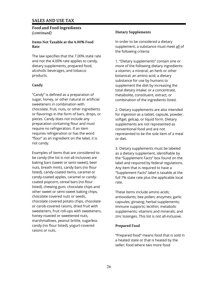# **Food and Food Ingredients** *(continued)*

#### **Items Not Taxable at the 4.00% Food Rate**

The law specifies that the 7.00% state rate and not the 4.00% rate applies to candy, dietary supplements, prepared food, alcoholic beverages, and tobacco products.

# **Candy**

"Candy" is defined as a preparation of sugar, honey, or other natural or artificial sweeteners in combination with chocolate, fruit, nuts, or other ingredients or flavorings in the form of bars, drops, or pieces. Candy does not include any preparation containing flour and must require no refrigeration. If an item requires refrigeration or has the word "flour" as an ingredient on the label, it is not candy.

Examples of items that are considered to be candy (the list is not all-inclusive) are baking bars (sweet or semi-sweet), beer nuts, breath mints, candy bars (no flour listed), candy-coated items, caramel or candy-coated apples, caramel or candycoated popcorn, cereal bars (no flour listed), chewing gum, chocolate chips and other sweet or semi-sweet baking chips, chocolate covered nuts or seeds, chocolate covered potato chips, chocolate or carob-covered raisins, dried fruit with sweeteners, fruit roll-ups with sweeteners, honey-roasted or sweetened nuts, marshmallows, peanut brittle, sugarless candy (no flour listed), yogurt-covered raisins or nuts.

# **Dietary Supplements**

In order to be considered a dietary supplement, a substance must meet all of the following criteria:

1. "Dietary supplements" contain one or more of the following dietary ingredients: a vitamin; a mineral; an herb or other botanical; an amino acid; a dietary substance for use by humans to supplement the diet by increasing the total dietary intake; or a concentrate, metabolite, constituent, extract, or combination of the ingredients listed.

2. Dietary supplements are also intended for ingestion as a tablet, capsule, powder, softgel, gelcap, or liquid form. Dietary supplements are not represented as conventional food and are not represented to be the sole item of a meal or diet.

3. Dietary supplements must be labeled as a dietary supplement, identifiable by the "Supplement Facts" box found on the label and required by federal regulations. Any item that is required to have a "Supplement Facts" label is taxable at the full 7% state rate plus the applicable local rate.

These items include amino acids; antioxidants; bee pollen; enzymes; garlic capsules; ginseng; herbal supplements; immune supports; lecithin; metabolic supplements; vitamins and minerals; and zinc lozenges. This list is not all-inclusive.

# **Prepared Food**

"Prepared food" means food that is sold in a heated state or that is heated by the seller; food where two more food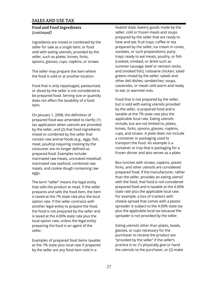# **Food and Food Ingredients** *(continued)*

ingredients are mixed or combined by the seller for sale as a single item; or food sold with eating utensils, provided by the seller, such as plates, knives, forks, spoons, glasses, cups, napkins, or straws.

The seller may prepare the item where the food is sold or at another location.

Food that is only repackaged, pasteurized, or sliced by the seller is not considered to be prepared food. Serving size or quantity does not affect the taxability of a food item.

On January 1, 2008, the definition of prepared food was amended to clarify: (1) tax application when utensils are provided by the seller, and (2) that food ingredients mixed or combined by the seller that contain raw animal foods (e.g., eggs, fish, meat, poultry) requiring cooking by the consumer are no longer defined as prepared food. Examples include: marinated raw meats, uncooked meatloaf, marinated raw seafood, combined raw meats, and cookie dough containing raw eggs.

The term "seller" means the legal entity that sells the product at retail. If the seller prepares and sells the food item, the item is taxed at the 7% state rate plus the local option rate. If the seller contracts with another legal entity to prepare the food, the food is not prepared by the seller and is taxed at the 4.00% state rate plus the local option rate, unless the legal entity preparing the food is an agent of the seller.

Examples of prepared food items taxable at the 7% state plus local rate if prepared by the seller are any food item sold in a

heated state, bakery goods made by the seller; cold or frozen meals and soups prepared by the seller that are ready to heat and eat; fruit trays, coffee or tea prepared by the seller; ice cream in cones, sundaes, or such preparations; party trays; ready to eat meats, poultry, or fish (cooked, smoked, or dried such as summer sausage, beef or venison sticks, and smoked fish); rotisserie chicken; salad greens mixed by the seller; salads and other deli dishes; sandwiches; soups, casseroles, or meals sold warm and ready to eat; or warmed nuts.

Food that is not prepared by the seller, but is sold with eating utensils provided by the seller, is prepared food and is taxable at the 7% state rate plus the applicable local rate. Eating utensils include, but are not limited to, plates, knives, forks, spoons, glasses, napkins, cups, and straws. A plate does not include a container or packaging used to transport the food. An example is a container or tray that is packaging for a frozen dinner and also serves as a plate.

Box lunches with straws, napkins, plastic forks, and other utensils are considered prepared food. If the manufacturer, rather than the seller, provides an eating utensil with the food, that food is not considered prepared food and is taxable at the 4.00% state rate plus the applicable local rate. For example, a box of crackers with cheese spread that comes with a plastic spreader is subject to the 4.00% state tax plus the applicable local tax because the spreader is not provided by the seller.

Eating utensils other than plates, bowls, glasses, or cups necessary for the purchaser to receive the product are "provided by the seller" if the seller's practice is to: (1) physically give or hand the utensils to the purchaser, or (2) make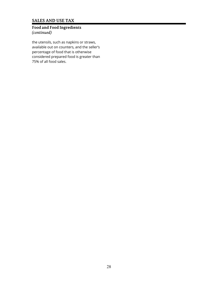# **Food and Food Ingredients** *(continued)*

the utensils, such as napkins or straws, available out on counters, and the seller's percentage of food that is otherwise considered prepared food is greater than 75% of all food sales.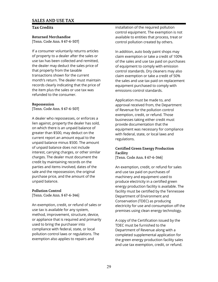# **Tax Credits**

**Returned Merchandise** [Tenn. Code Ann. § 67-6-507]

If a consumer voluntarily returns articles of property to a dealer after the sales or use tax has been collected and remitted, the dealer may deduct the sales price of that property from the taxable transactions shown for the current month's return. The dealer must maintain records clearly indicating that the price of the item plus the sales or use tax was refunded to the consumer.

#### **Repossession**

[Tenn. Code Ann. § 67-6-507]

A dealer who repossesses, or enforces a lien against, property the dealer has sold, on which there is an unpaid balance of greater than \$500, may deduct on the current report an amount equal to the unpaid balance minus \$500. The amount of unpaid balance does not include interest, carrying charges, or other similar charges. The dealer must document the credit by maintaining records on the parties and items involved, dates of the sale and the repossession, the original purchase price, and the amount of the unpaid balance.

#### **Pollution Control**

[Tenn. Code Ann. § 67-6-346]

An exemption, credit, or refund of sales or use tax is available for any system, method, improvement, structure, device, or appliance that is required and primarily used to bring the purchaser into compliance with federal, state, or local pollution control laws or regulations. The exemption also applies to repairs and

installation of the required pollution control equipment. The exemption is not available to entities that process, treat or control pollution created by others.

In addition, auto body paint shops may claim exemption or take a credit of 100% of the sales and use tax paid on purchases of equipment to comply with emission control standards. Dry cleaners may also claim exemption or take a credit of 50% the sales and use tax paid on replacement equipment purchased to comply with emissions control standards.

Application must be made to, and approval received from, the Department of Revenue for the pollution control exemption, credit, or refund. Those businesses taking either credit must provide documentation that the equipment was necessary for compliance with federal, state, or local laws and regulations.

# **Certified Green Energy Production Facility**

[Tenn. Code Ann. § 67-6-346]

An exemption, credit, or refund for sales and use tax paid on purchases of machinery and equipment used to produce electricity in a certified green energy production facility is available. The facility must be certified by the Tennessee Department of Environment and Conservation (TDEC) as producing electricity for use and consumption off the premises using clean energy technology.

A copy of the Certification issued by the TDEC must be furnished to the Department of Revenue along with a completed supplemental application for the green energy production facility sales and use tax exemption, credit, or refund.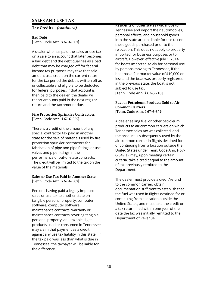#### **Tax Credits** *(continued)*

**Bad Debt**

[Tenn. Code Ann. § 67-6-507]

A dealer who has paid the sales or use tax on a sale to an account that later becomes a bad debt and the debt qualifies as a bad debt that may be charged off for federal income tax purposes may take that sale amount as a credit on the current return for the tax period the debt is written off as uncollectable and eligible to be deducted for federal purposes. If that account is then paid to the dealer, the dealer will report amounts paid in the next regular return and the tax amount due.

#### **Fire Protection Sprinkler Contractors** [Tenn. Code Ann. § 67-6-355]

There is a credit of the amount of any special contractor tax paid in another state for the sale of materials used by fire protection sprinkler contractors for fabrication of pipe and pipe fittings or use valves and pipe fittings in the performance of out-of-state contracts. The credit will be limited to the tax on the value of the materials.

## **Sales or Use Tax Paid in Another State** [Tenn. Code Ann. § 67-6-507]

Persons having paid a legally imposed sales or use tax to another state on tangible personal property, computer software, computer software maintenance contracts, warranty or maintenance contracts covering tangible personal property, and taxable digital products used or consumed in Tennessee may claim that payment as a credit against any use tax liability in this state. If the tax paid was less than what is due in Tennessee, the taxpayer will be liable for the difference.

Residents of other states who move to Tennessee and import their automobiles, personal effects, and household goods into the state are not liable for use tax on these goods purchased prior to the relocation. This does not apply to property imported for business purposes or to aircraft. However, effective July 1, 2014, for boats imported solely for personal use by persons moving to Tennessee, if the boat has a fair market value of \$10,000 or less and the boat was properly registered in the previous state, the boat is not subject to use tax. [Tenn. Code Ann. § 67-6-210]

# **Fuel or Petroleum Products Sold to Air Common Carriers**

[Tenn. Code Ann. § 67-6-349]

A dealer selling fuel or other petroleum products to air common carriers on which Tennessee sales tax was collected, and the product is subsequently used by the air common carrier in flights destined for or continuing from a location outside the United States under Tenn. Code Ann. § 67- 6-349(a), may, upon meeting certain criteria, take a credit equal to the amount of tax previously remitted to the Department.

The dealer must provide a credit/refund to the common carrier, obtain documentation sufficient to establish that the fuel was used in flights destined for or continuing from a location outside the United States, and must take the credit on a tax return filed within one year of the date the tax was initially remitted to the Department of Revenue.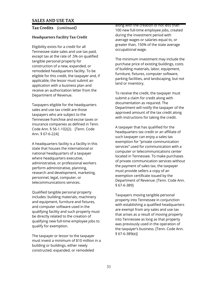# **Tax Credits** *(continued)*

# **Headquarters Facility Tax Credit**

Eligibility exists for a credit for all Tennessee state sales and use tax paid, except tax at the rate of .5% on qualified tangible personal property for construction of a new, expanded, or remodeled headquarters facility. To be eligible for this credit, the taxpayer and, if applicable, the lessor must submit an application with a business plan and receive an authorization letter from the Department of Revenue.

Taxpayers eligible for the headquarters sales and use tax credit are those taxpayers who are subject to the Tennessee franchise and excise taxes or insurance companies as defined in Tenn. Code Ann. § 56-1-102(2). [Tenn. Code Ann. § 67-6-224]

A headquarters facility is a facility in this state that houses the international or national headquarters of a taxpayer where headquarters executive, administrative, or professional workers perform administrative, planning, research and development, marketing, personnel, legal, computer, or telecommunications services.

Qualified tangible personal property includes: building materials, machinery and equipment, furniture and fixtures, and computer software used in the qualifying facility and such property must be directly related to the creation of qualifying new full-time employee jobs to qualify for exemption.

The taxpayer or lessor to the taxpayer must invest a minimum of \$10 million in a building or buildings, either newly constructed, expanded, or remodeled

along with the creation of not less than 100 new full-time employee jobs, created during the investment period with average wages or salaries equal to, or greater than, 150% of the state average occupational wage.

The minimum investment may include the purchase price of existing buildings, costs of building materials, labor, equipment, furniture, fixtures, computer software, parking facilities, and landscaping, but not land or inventory.

To receive the credit, the taxpayer must submit a claim for credit along with documentation as required. The Department will notify the taxpayer of the approved amount of the tax credit along with instructions for taking the credit.

A taxpayer that has qualified for the headquarters tax credit or an affiliate of such taxpayer can enjoy a sales tax exemption for "private communication services" used for communication with a computer or telecommunications center located in Tennessee. To make purchases of private communication services without the payment of sales tax, the taxpayer must provide sellers a copy of an exemption certificate issued by the Department of Revenue. [Tenn. Code Ann. § 67-6-389]

Taxpayers moving tangible personal property into Tennessee in conjunction with establishing a qualified headquarters are exempt from any sales and use tax that arises as a result of moving property into Tennessee as long as that property was previously used in the operation of the taxpayer's business. [Tenn. Code Ann. § 67-6-389(e)]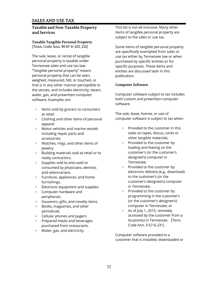# **Taxable and Non-Taxable Property and Services**

**Taxable Tangible Personal Property** [Tenn. Code Ann. §§ 67-6-102, 212]

The sale, lease, or rental of tangible personal property is taxable under Tennessee sales and use tax law. "Tangible personal property" means personal property that can be seen, weighed, measured, felt, or touched, or that is in any other manner perceptible to the senses, and includes electricity, steam, water, gas, and prewritten computer software. Examples are:

- + Items sold by grocers to consumers at retail.
- + Clothing and other items of personal apparel.
- + Motor vehicles and marine vessels including repair parts and accessories.
- + Watches, rings, and other items of jewelry.
- + Building materials sold at retail or to realty contractors.
- + Supplies sold to and used or consumed by physicians, dentists and veterinarians.
- + Furniture, appliances, and home furnishings.
- + Electronic equipment and supplies.
- + Computer hardware and peripherals.
- + Souvenirs, gifts, and novelty items.
- + Books, magazines, and other periodicals.
- + Cellular phones and pagers.
- + Prepared meals and beverages purchased from restaurants.
- + Water, gas, and electricity*.*

This list is not all-inclusive. Many other items of tangible personal property are subject to the sales or use tax.

Some items of tangible personal property are specifically exempted from sales or use tax either by Tennessee law or when purchased by specific entities or for specific purposes. These items and entities are discussed later in this publication.

# **Computer Software**

Computer software subject to tax includes both custom and prewritten computer software.

The sale, lease, license, or use of computer software is subject to tax when:

- + Provided to the customer in this state on tapes, discus, cards or other tangible materials;
- + Provided to the customer by loading and leaving on the customer's (or the customer's designee's) computer in Tennessee;
- + Provided to the customer by electronic delivery (e.g., download) to the customer's (or the customer's designee's) computer in Tennessee;
- + Provided to the customer by programming in the customer's (or the customer's designee's) computer in Tennessee; or
- + As of July 1, 2015, remotely accessed by the customer from a location(s) in Tennessee. [Tenn. Code Ann. § 67-6-231]

Computer software provided to a customer that is installed, downloaded or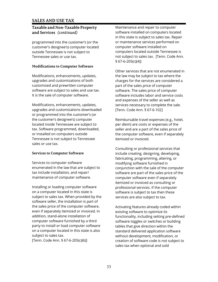# **Taxable and Non-Taxable Property and Services** *(continued)*

programmed into the customer's (or the customer's designee's) computer located outside Tennessee is not subject to Tennessee sales or use tax.

# **Modifications to Computer Software**

Modifications, enhancements, updates, upgrades and customizations of both customized and prewritten computer software are subject to sales and use tax. It is the sale of computer software.

Modifications, enhancements, updates, upgrades and customizations downloaded or programmed into the customer's (or the customer's designee's) computer located inside Tennessee are subject to tax. Software programmed, downloaded, or installed on computers outside Tennessee is not subject to Tennessee sales or use tax.

# **Services to Computer Software**

Services to computer software enumerated in the law that are subject to tax include installation, and repair/ maintenance of computer software.

Installing or loading computer software on a computer located in this state is subject to sales tax. When provided by the software seller, the installation is part of the sales price of the computer software, even if separately itemized or invoiced. In addition, stand-alone installation of computer software furnished by a third party to install or load computer software on a computer located in this state is also subject to sales tax.

[Tenn. Code Ann. § 67-6-205(c)(6)]

Maintenance and repair to computer software installed on computers located in this state is subject to sales tax. Repair or maintenance services performed on computer software installed on computers located outside Tennessee is not subject to sales tax. [Tenn. Code Ann. § 67-6-205(c)(4)]

Other services that are not enumerated in the law may be subject to tax where the charges for the services are considered a part of the sales price of computer software. The sales price of computer software includes labor and service costs and expenses of the seller as well as services necessary to complete the sale. [Tenn. Code Ann. § 67-6-102]

Reimbursable travel expenses (e.g., hotel, per diem) are costs or expenses of the seller and are a part of the sales price of the computer software, even if separately itemized or invoiced.

Consulting or professional services that include creating, designing, developing, fabricating, programming, altering, or modifying software furnished in conjunction with the sale of the computer software are part of the sales price of the computer software even if separately itemized or invoiced as consulting or professional services. If the computer software is subject to tax then these services are also subject to tax.

Activating features already coded within existing software to optimize its functionality, including setting pre-defined software toggles or switches or building tables that give direction within the standard delivered application software without development, modification, or creation of software code is not subject to sales tax when optional and sold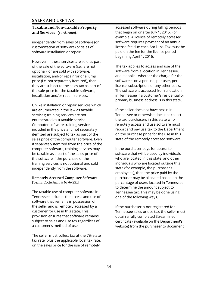# **Taxable and Non-Taxable Property and Services** *(continued)*

independently from sales of software (or customization of software) or sales of software installation or repair

However, if these services are sold as part of the sale of the software (i.e., are not optional), or are sold with software, installation, and/or repair for one lump price (i.e. not separately itemized), then they are subject to the sales tax as part of the sale price for the taxable software, installation and/or repair services.

Unlike installation or repair services which are enumerated in the law as taxable services; training services are not enumerated as a taxable service. Computer software training services included in the price and not separately itemized are subject to tax as part of the sales price of the computer software. Even if separately itemized from the price of the computer software, training services may be taxable as a part of the sales price of the software if the purchase of the training services is not optional and sold independently from the software.

#### **Remotely Accessed Computer Software** [Tenn. Code Ann. § 67-6-231]

The taxable use of computer software in Tennessee includes the access and use of software that remains in possession of the seller and is remotely accessed by a customer for use in this state. This provision ensures that software remains subject to sales and use tax regardless of a customer's method of use.

The seller must collect tax at the 7% state tax rate, plus the applicable local tax rate, on the sales price for the use of remotely

accessed software during billing periods that begin on or after July 1, 2015. For example: A license of remotely accessed software requires payment of an annual license fee due each April 1st. Tax must be paid on the fee for the license period beginning April 1, 2016.

The tax applies to access and use of the software from a location in Tennessee, and it applies whether the charge for the software is on a per use, per user, per license, subscription, or any other basis. The software is accessed from a location in Tennessee if a customer's residential or primary business address is in this state.

If the seller does not have nexus in Tennessee or otherwise does not collect the tax, purchasers in this state who remotely access and use software must report and pay use tax to the Department on the purchase price for the use in this state of the remotely accessed software.

If the purchaser pays for access to software that will be used by individuals who are located in this state, and other individuals who are located outside this state (for example, the purchaser's employees), then the price paid by the purchaser may be allocated based on the percentage of users located in Tennessee to determine the amount subject to Tennessee tax. This may be done using one of the following ways.

If the purchaser is not registered for Tennessee sales or use tax, the seller must obtain a fully completed Streamlined certificate (available on the Department's website) from the purchaser to document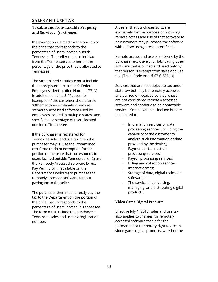# **Taxable and Non-Taxable Property and Services** *(continued)*

the exemption claimed for the portion of the price that corresponds to the percentage of users located outside Tennessee. The seller must collect tax from the Tennessee customer on the percentage of the price that is allocated to Tennessee.

The Streamlined certificate must include the nonregistered customer's Federal Employer's Identification Number (FEIN). In addition, on Line 5, "Reason for Exemption," the customer should circle "Other" with an explanation such as, "remotely accessed software used by employees located in multiple states" and specify the percentage of users located outside of Tennessee.

If the purchaser is registered for Tennessee sales and use tax, then the purchaser may: 1) use the Streamlined certificate to claim exemption for the portion of the price that corresponds to users located outside Tennessee, or 2) use the Remotely Accessed Software Direct Pay Permit form (available on the Department's website) to purchase the remotely accessed software without paying tax to the seller.

The purchaser then must directly pay the tax to the Department on the portion of the price that corresponds to the percentage of users located in Tennessee. The form must include the purchaser's Tennessee sales and use tax registration number.

A dealer that purchases software exclusively for the purpose of providing remote access and use of that software to its customers may purchase the software without tax using a resale certificate.

Remote access and use of software by the purchaser exclusively for fabricating other software that is owned and used only by that person is exempt from sales and use tax. [Tenn. Code Ann. § 67-6-387(b)]

Services that are not subject to tax under state law but may be remotely accessed and utilized or received by a purchaser are not considered remotely accessed software and continue to be nontaxable services. Some examples include but are not limited to:

- + Information services or data processing services (including the capability of the customer to analyze such information or data provided by the dealer);
- + Payment or transaction processing services;
- + Payroll processing services;
- + Billing and collection services;
- + Internet access;
- + Storage of data, digital codes, or software; or
- + The service of converting, managing, and distributing digital products.

# **Video Game Digital Products**

Effective July 1, 2015, sales and use tax also applies to charges for remotely accessed software that is for the permanent or temporary right to access video game digital products, whether the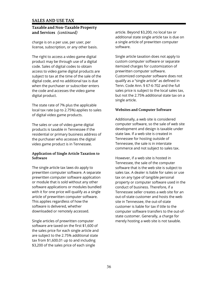# **Taxable and Non-Taxable Property and Services** *(continued)*

charge is on a per use, per user, per license, subscription, or any other basis.

The right to access a video game digital product may be through use of a digital code. Sales of digital codes to obtain access to video game digital products are subject to tax at the time of the sale of the digital code, and no additional tax is due when the purchaser or subscriber enters the code and accesses the video game digital product.

The state rate of 7% plus the applicable local tax rate (up to 2.75%) applies to sales of digital video game products.

The sales or use of video game digital products is taxable in Tennessee if the residential or primary business address of the purchaser who accesses the digital video game product is in Tennessee.

# **Application of Single Article Taxation to Software**

The single article tax laws do apply to prewritten computer software. A separate prewritten computer software application or module that is sold without any other software applications or modules bundled with it for one price will qualify as a single article of prewritten computer software. This applies regardless of how the software is delivered, whether downloaded or remotely accessed.

Single articles of prewritten computer software are taxed on the first \$1,600 of the sales price for each single article and are subject to the 2.75% additional state tax from \$1,600.01 up to and including \$3,200 of the sales price of each single

article. Beyond \$3,200, no local tax or additional state single article tax is due on a single article of prewritten computer software.

Single article taxation does not apply to custom computer software or separate itemized charges for customization of prewritten computer software. Customized computer software does not qualify as a "single article" as defined in Tenn. Code Ann. § 67-6-702 and the full sales price is subject to the local sales tax, but not the 2.75% additional state tax on a single article.

# **Websites and Computer Software**

Additionally, a web site is considered computer software, so the sale of web site development and design is taxable under state law. If a web site is created in Tennessee for hosting outside of Tennessee, the sale is in interstate commerce and not subject to sales tax.

However, if a web site is hosted in Tennessee, the sale of the computer software that is the web site is subject to sales tax. A dealer is liable for sales or use tax on any type of tangible personal property or computer software used in the conduct of business. Therefore, if a Tennessee seller creates a web site for an out-of-state customer and hosts the web site in Tennessee, the out-of-state customer is liable for tax if title to the computer software transfers to the out-ofstate customer. Generally, a charge for merely hosting a web site is not taxable.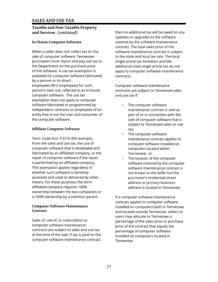## **Taxable and Non-Taxable Property and Services** *(continued)*

## **In-House Computer Software**

When a seller does not collect tax on the sale of computer software, Tennessee purchasers must report and pay use tax to the Department on the purchase price of the software. A use tax exemption is available for computer software fabricated by a person or its direct employees (W-2 employees) for such person's own use, referred to as in-house computer software. The use tax exemption does not apply to computer software fabricated or programmed by independent contracts or employees of an entity that is not the user and consumer of the computer software.

## **Affiliate Computer Software**

Tenn. Code Ann. § 67-6-395 exempts, from the sales and use tax, the use of computer software that is developed and fabricated by an affiliated company, or the repair of computer software if the repair is performed by an affiliated company. This exemption applies regardless of whether such software is remotely accessed and used or delivered by other means. For these purposes the term affiliated company requires 100% ownership between the two companies or a 100% ownership by a common parent.

#### **Computer Software Maintenance Contract**

Sales of, use of, or subscription to computer software maintenance contracts are subject to sales and use tax at the time of the sale. If tax is paid on the computer software maintenance contract, then no additional tax will be owed on any updates or upgrades to the software covered by the software maintenance contract. The total sales price of the software maintenance contract is subject to the state and local tax rate. The local single article tax limitation and the additional state single article tax do not apply to computer software maintenance contracts.

Computer software maintenance contracts are subject to Tennessee sales and use tax if:

- + The computer software maintenance contract is sold as part of or in connection with the sale of computer software that is subject to Tennessee sales or use tax;
- + The computer software maintenance contract applies to computer software installed on computers located within Tennessee; or
- + The location of the computer software covered by the computer software maintenance contract is not known to the seller but the purchaser's residential street address or primary business address is located in Tennessee.

If a computer software maintenance contract applies to computer software installed on computers both in Tennessee and located outside Tennessee, sellers or users may allocate to Tennessee a percentage of the sales price or purchase price of the contract that equals the percentage of computer software installed on computers located in Tennessee.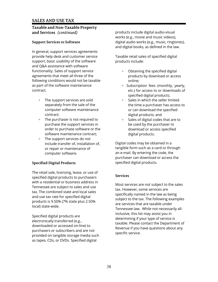## **Taxable and Non-Taxable Property and Services** *(continued)*

## **Support Services to Software**

In general, support services agreements provide help desk and customer service support, basic usability of the software and Q&A assistance with software functionality. Sales of support service agreements that meet all three of the following conditions would not be taxable as part of the software maintenance contract.

- + The support services are sold separately from the sale of the computer software maintenance contract;
- + The purchaser is not required to purchase the support services in order to purchase software or the software maintenance contract;
- + The support services do not include transfer of, installation of, or repair or maintenance of computer software.

## **Specified Digital Products**

The retail sale, licensing, lease, or use of specified digital products to purchasers with a residential or business address in Tennessee are subject to sales and use tax. The combined state and local sales and use tax rate for specified digital products is 9.50% (7% state plus 2.50% local) state-wide.

Specified digital products are electronically transferred (e.g., downloaded or accessed on-line) to purchasers or subscribers and are not provided on tangible storage media such as tapes, CDs, or DVDs. Specified digital

products include digital audio-visual works (e.g., movie and music videos), digital audio works (e.g., music, ringtones), and digital books, as defined in the law.

Taxable retail sales of specified digital products include:

- + Obtaining the specified digital products by download or access online;
- + Subscription fees (monthly, yearly, etc.) for access to or downloads of specified digital products;
- + Sales in which the seller limited the time a purchaser has access to or can download the specified digital products; and
- + Sales of digital codes that are to be used by the purchaser to download or access specified digital products.

Digital codes may be obtained in a tangible form such as a card or through an e-mail. By entering the code, the purchaser can download or access the specified digital products.

## **Services**

Most services are not subject to the sales tax. However, some services are specifically named in the law as being subject to the tax. The following examples are services that are taxable under Tennessee law. While not necessarily allinclusive, this list may assist you in determining if your type of service is taxable. Please contact the Department of Revenue if you have questions about any specific service.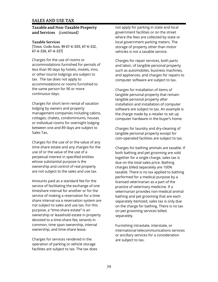#### **Taxable and Non-Taxable Property and Services** *(continued)*

#### **Taxable Services**

[Tenn. Code Ann. §§ 67-6-205, 67-6-212, 67-6-226, 67-6-227]

Charges for the use of rooms or accommodations furnished for periods of less than 90 days by hotels, motels, inns, or other tourist lodgings are subject to tax. The tax does not apply to accommodations or rooms furnished to the same person for 90 or more continuous days.

Charges for short term rental of vacation lodging by owners and property management companies including cabins, cottages, chalets, condominiums, houses or individual rooms for overnight lodging between one and 89 days are subject to Sales Tax.

Charges for the use of or the value of any time-share estate and any charges for the use of or the value of the use of a perpetual interest in specified entities whose substantial purpose is the ownership and control of real property are not subject to the sales and use tax.

Amounts paid as a standard fee for the service of facilitating the exchange of one timeshare interval for another or for the service of making a reservation for a time share interval via a reservation system are not subject to sales and use tax. For this purpose, a "time-share estate" is an ownership or leasehold estate in property devoted to a time-share fee, tenants in common, time span ownership, interval ownership, and time-share lease.

Charges for services rendered in the operation of parking or vehicle storage facilities are subject to tax. The tax does not apply for parking in state and local government facilities or on the street where the fees are collected by state or local government parking meters. The storage of property other than motor vehicles is not a taxable service.

Charges for repair services, both parts and labor, of tangible personal property such as automobiles, business machines, and appliances, and charges for repairs to computer software are subject to tax.

Charges for installation of items of tangible personal property that remain tangible personal property after installation and installation of computer software are subject to tax. An example is the charge made by a retailer to set up computer hardware in the buyer's home.

Charges for laundry and dry-cleaning of tangible personal property except for coin-operated facilities are subject to tax.

Charges for bathing animals are taxable. If both bathing and pet grooming are sold together for a single charge, sales tax is due on the total sales price. Bathing charges billed separately are 100% taxable. There is no tax applied to bathing performed for a medical purpose by a licensed veterinarian as a part of the practice of veterinary medicine. If a veterinarian provides non-medical animal bathing and pet grooming that are each separately itemized, sales tax is only due on the charge for bathing. There is no tax on pet grooming services billed. separately.

Furnishing intrastate, interstate, or international telecommunications services or ancillary services for a consideration are subject to tax.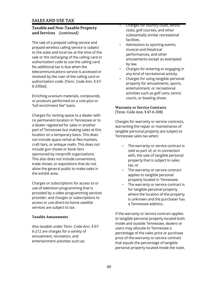## **Taxable and Non-Taxable Property and Services** *(continued)*

The sale of a prepaid calling service and prepaid wireless calling service is subject to the state and local tax at the time of the sale or the recharging of the calling card or authorization code to use the calling card. No additional tax is due when the telecommunications service is accessed or received by the user of the calling card or authorization code. [Tenn. Code Ann. § 67- 6-230(a)]

Enriching uranium materials, compounds, or products performed on a cost-plus or "toll enrichment fee" basis.

Charges for renting space to a dealer with no permanent location in Tennessee or to a dealer registered for sales in another part of Tennessee but making sales at this location on a temporary basis. This does not include space rental at flea markets, craft fairs, or antique malls. This does not include gun shows or book fairs sponsored by nonprofit organizations. This also does not include conventions, trade shows, or expositions that do not allow the general public to make sales in the exhibit area.

Charges or subscriptions for access to or use of television programming that is provided by a video programming services provider; and charges or subscriptions to access or use direct-to-home satellite services are subject to tax.

## **Taxable Amusements**

Also taxable under Tenn. Code Ann. § 67- 6-212 are charges for a variety of amusement, recreation, and entertainment activities such as:

- + Charges for country clubs, tennis clubs, golf courses, and other substantially similar recreational facilities.
- Admissions to sporting events, musical and theatrical performances, and other amusements except as exempted by law.
- + Charges for entering or engaging in any kind of recreational activity.
- + Charges for using tangible personal property for amusements, sports, entertainment, or recreational activities such as golf carts, tennis courts, or bowling shoes.

#### **Warranty or Service Contracts** [Tenn. Code Ann. § 67-6-208]

Charges for warranty or service contracts, warranting the repair or maintenance of tangible personal property are subject to Tennessee sales tax when:

- The warranty or service contract is sold as part of, or in connection with, the sale of tangible personal property that is subject to sales tax, or
- + The warranty or service contract applies to tangible personal property located in Tennessee.
- + The warranty or service contract is for tangible personal property where the location of the property is unknown and the purchaser has a Tennessee address.

If the warranty or service contract applies to tangible personal property located both inside and outside Tennessee, dealers or users may allocate to Tennessee a percentage of the sales price or purchase price of the warranty or service contract that equals the percentage of tangible personal property located inside the state.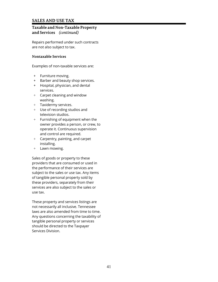## **Taxable and Non-Taxable Property and Services** *(continued)*

Repairs performed under such contracts are not also subject to tax.

#### **Nontaxable Services**

Examples of non-taxable services are:

- + Furniture moving.
- + Barber and beauty shop services.
- + Hospital, physician, and dental services.
- + Carpet cleaning and window washing.
- + Taxidermy services.
- + Use of recording studios and television studios.
- + Furnishing of equipment when the owner provides a person, or crew, to operate it. Continuous supervision and control are required.
- + Carpentry, painting, and carpet installing.
- + Lawn mowing.

Sales of goods or property to these providers that are consumed or used in the performance of their services are subject to the sales or use tax. Any items of tangible personal property sold by these providers, separately from their services are also subject to the sales or use tax.

These property and services listings are not necessarily all inclusive. Tennessee laws are also amended from time to time. Any questions concerning the taxability of tangible personal property or services should be directed to the Taxpayer Services Division.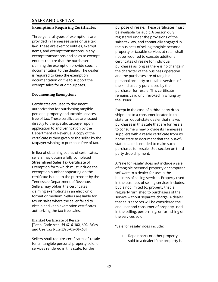# **Exemptions Requiring Certificates**

Three general types of exemptions are provided in Tennessee sales or use tax law. These are exempt entities, exempt items, and exempt transactions. Many exempt transactions and sales to exempt entities require that the purchaser claiming the exemption provide specific documentation to the dealer. The dealer is required to keep the exemption documentation on file to support the exempt sales for audit purposes.

#### **Documenting Exemptions**

Certificates are used to document authorization for purchasing tangible personal property and taxable services free of tax. These certificates are issued directly to the specific taxpayer upon application to and verification by the Department of Revenue. A copy of the certificate is then given to the seller by the taxpayer wishing to purchase free of tax.

In lieu of obtaining copies of certificates, sellers may obtain a fully completed Streamlined Sales Tax Certificate of Exemption form which must include the exemption number appearing on the certificate issued to the purchaser by the Tennessee Department of Revenue. Sellers may obtain the certificates claiming exemptions in an electronic format or medium. Sellers are liable for tax on sales where the seller failed to obtain and keep exemption certificates authorizing the tax-free sales.

#### **Blanket Certificate of Resale**

[Tenn. Code Ann. §§ 67-6-102, 602; Sales and Use Tax Rule 1320-05-01-.68]

Sellers shall require certificates of resale for all tangible personal property sold, or services rendered in this state, for the

purpose of resale. These certificates must be available for audit. A person duly registered under the provisions of the sales tax law, and continually engaged in the business of selling tangible personal property or taxable services at retail shall not be required to execute additional certificates of resale for individual purchases as long as there is no change in the character of the business operation and the purchases are of tangible personal property or taxable services of the kind usually purchased by the purchaser for resale. This certificate remains valid until revoked in writing by the issuer.

Except in the case of a third party drop shipment to a consumer located in this state, an out-of-state dealer that makes purchases in this state that are for resale to consumers may provide its Tennessee suppliers with a resale certificate from its home state to document that the out-ofstate dealer is entitled to make such purchases for resale. See section on third party drop shipment.

A "sale for resale" does not include a sale of tangible personal property or computer software to a dealer for use in the business of selling services. Property used in the business of selling services includes, but is not limited to, property that is regularly furnished to purchasers of the service without separate charge. A dealer that sells services will be considered the end user and consumer of property used in the selling, performing, or furnishing of the services sold.

"Sale for resale" does include:

+ Repair parts or other property sold to a dealer if the property is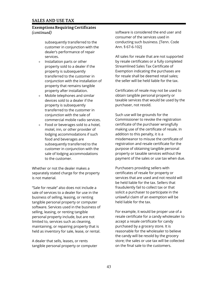# **Exemptions Requiring Certificates** *(continued)*

subsequently transferred to the customer in conjunction with the dealer's performance of repair services.

- + Installation parts or other property sold to a dealer if the property is subsequently transferred to the customer in conjunction with the installation of property that remains tangible property after installation.
- Mobile telephones and similar devices sold to a dealer if the property is subsequently transferred to the customer in conjunction with the sale of commercial mobile radio services.
- $+$  Food or beverages sold to a hotel, motel, inn, or other provider of lodging accommodations if such food and beverages are subsequently transferred to the customer in conjunction with the sale of lodging accommodations to the customer.

Whether or not the dealer makes a separately stated charge for the property is not material.

"Sale for resale" also does not include a sale of services to a dealer for use in the business of selling, leasing, or renting tangible personal property or computer software. Services used in the business of selling, leasing, or renting tangible personal property include, but are not limited to, services such as cleaning, maintaining, or repairing property that is held as inventory for sale, lease, or rental.

A dealer that sells, leases, or rents tangible personal property or computer

software is considered the end user and consumer of the services used in conducting such business. [Tenn. Code Ann. § 67-6-102]

All sales for resale that are not supported by resale certificates or a fully completed Streamlined Sales Tax Certificate of Exemption indicating the purchases are for resale shall be deemed retail sales; the seller will be held liable for the tax.

Certificates of resale may not be used to obtain tangible personal property or taxable services that would be used by the purchaser, not resold.

Such use will be grounds for the Commissioner to revoke the registration certificate of the purchaser wrongfully making use of the certificate of resale. In addition to this penalty, it is a misdemeanor to misuse the certificate of registration and resale certificate for the purpose of obtaining tangible personal property or taxable services without the payment of the sales or use tax when due.

Purchasers providing sellers with certificates of resale for property or services that are used and not resold will be held liable for the tax. Sellers that fraudulently fail to collect tax or that solicit a purchaser to participate in the unlawful claim of an exemption will be held liable for the tax.

For example, it would be proper use of a resale certificate for a candy wholesaler to accept a resale certificate for candy purchased by a grocery store. It is reasonable for the wholesaler to believe the candy will be resold by the grocery store; the sales or use tax will be collected on the final sale to the customers.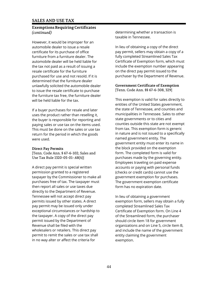## **Exemptions Requiring Certificates** *(continued)*

However, it would be improper for an automobile dealer to issue a resale certificate for its purchase of office furniture from a furniture dealer. The automobile dealer will be held liable for the tax not paid as a result of issuing a resale certificate for the furniture purchased for use and not resold. If it is determined that the furniture dealer unlawfully solicited the automobile dealer to issue the resale certificate to purchase the furniture tax free, the furniture dealer will be held liable for the tax.

If a buyer purchases for resale and later uses the product rather than reselling it, the buyer is responsible for reporting and paying sales or use tax on the items used. This must be done on the sales or use tax return for the period in which the goods were used.

#### **Direct Pay Permits**

[Tenn. Code Ann. § 67-6-102; Sales and Use Tax Rule 1320-05-01-.68(4)]

A direct pay permit is special written permission granted to a registered taxpayer by the Commissioner to make all purchases free of tax. The taxpayer must then report all sales or use taxes due directly to the Department of Revenue. Tennessee will not accept direct pay permits issued by other states. A direct pay permit may be issued only under exceptional circumstances or hardship to the taxpayer. A copy of the direct pay permit issued by the Department of Revenue shall be filed with the wholesalers or retailers. This direct pay permit to remit the sales or use tax shall in no way alter or affect the criteria for

determining whether a transaction is taxable in Tennessee.

In lieu of obtaining a copy of the direct pay permit, sellers may obtain a copy of a fully completed Streamlined Sales Tax Certificate of Exemption form, which must include the exemption number appearing on the direct pay permit issued to the purchaser by the Department of Revenue.

#### **Government Certificate of Exemption** [Tenn. Code Ann. §§ 67-6-308, 329]

This exemption is valid for sales directly to entities of the United States government, the state of Tennessee, and counties and municipalities in Tennessee. Sales to other state governments or to cities and counties outside this state are not exempt from tax. This exemption form is generic in nature and is not issued to a specifically named government entity. The government entity must enter its name in the block provided on the exemption form. The completed form is valid for purchases made by the governing entity. Employees traveling on paid expense accounts or paying with personal funds (checks or credit cards) cannot use the government exemption for purchases. The government exemption certificate form has no expiration date.

In lieu of obtaining a government exemption form, sellers may obtain a fully completed Streamlined Sales Tax Certificate of Exemption form. On Line 4 of the Streamlined form, the purchaser should circle Item 18 for government organizations and on Line 5, circle Item B, and include the name of the government entity claiming the government exemption.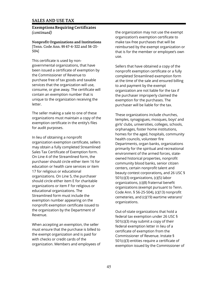## **Exemptions Requiring Certificates** *(continued)*

**Nonprofit Organizations and Institutions**  [Tenn. Code Ann. §§ 67-6-322 and 56-25- 504]

This certificate is used by nongovernmental organizations, that have been issued a certificate of exemption by the Commissioner of Revenue to purchase free of tax goods and taxable services that the organization will use, consume, or give away. The certificate will contain an exemption number that is unique to the organization receiving the letter.

The seller making a sale to one of these organizations must maintain a copy of the exemption certificate in the entity's files for audit purposes.

In lieu of obtaining a nonprofit organization exemption certificate, sellers may obtain a fully completed Streamlined Sales Tax Certificate of Exemption form. On Line 4 of the Streamlined form, the purchaser should circle either item 16 for education or health care services or item 17 for religious or educational organizations. On Line 5, the purchaser should circle either item E for charitable organizations or item F for religious or educational organizations. The Streamlined form must include the exemption number appearing on the nonprofit exemption certificate issued to the organization by the Department of Revenue.

When accepting an exemption, the seller must ensure that the purchase is billed to the exempt organization and is paid for with checks or credit cards of the organization. Members and employees of the organization may not use the exempt organization's exemption certificate to make tax-free purchases that will be reimbursed by the exempt organization or that is for the member or employee's own use.

Sellers that have obtained a copy of the nonprofit exemption certificate or a fully completed Streamlined exemption form at the time of the sale and ensured billing to and payment by the exempt organization are not liable for the tax if the purchaser improperly claimed the exemption for the purchases. The purchaser will be liable for the tax.

These organizations include churches, temples, synagogues, mosques, boys' and girls' clubs, universities, colleges, schools, orphanages, foster home institutions, homes for the aged, hospitals, community health councils, volunteer fire Departments, organ banks, organizations primarily for the spiritual and recreational environment of the armed forces, stateowned historical properties, nonprofit community blood banks, senior citizen centers, certain nonprofit talent and beauty contest corporations*,* and 26 USC § 501(c)(3) organizations, (c)(5) labor organizations, (c)(8) fraternal benefit organizations (exempt pursuant to Tenn. Code Ann. § 56-25-504), (c)(13) nonprofit cemeteries, and (c)(19) wartime veterans' organizations.

Out-of-state organizations that hold a federal tax exemption under 26 USC § 501(c)(3) may submit a copy of their federal exemption letter in lieu of a certificate of exemption from the Commissioner of Revenue. Instate § 501(c)(3) entities require a certificate of exemption issued by the Commissioner of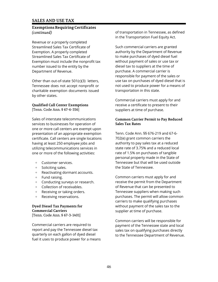## **Exemptions Requiring Certificates** *(continued)*

Revenue or a properly completed Streamlined Sales Tax Certificate of Exemption. A properly completed Streamlined Sales Tax Certificate of Exemption must include the nonprofit tax number issued to the entity by the Department of Revenue.

Other than out-of-state 501(c)(3) letters, Tennessee does not accept nonprofit or charitable exemption documents issued by other states.

#### **Qualified Call Center Exemptions** [Tenn. Code Ann. § 67-6-356]

Sales of interstate telecommunications services to businesses for operation of one or more call centers are exempt upon presentation of an appropriate exemption certificate. Call centers are single locations having at least 250 employee jobs and utilizing telecommunications services in one or more of the following activities:

- + Customer services.
- + Soliciting sales.
- + Reactivating dormant accounts.
- + Fund raising.
- + Conducting surveys or research.
- + Collection of receivables.
- + Receiving or taking orders.
- + Receiving reservations.

#### **Dyed Diesel Tax Payments for Commercial Carriers** [Tenn. Code Ann. § 67-3-1401]

Commercial carriers are required to report and pay the Tennessee diesel tax quarterly on each gallon of dyed diesel fuel it uses to produce power for a means of transportation in Tennessee, as defined in the Transportation Fuel Equity Act.

Such commercial carriers are granted authority by the Department of Revenue to make purchases of dyed diesel fuel without payment of sales or use tax or diesel tax to suppliers at the time of purchase. A commercial carrier is responsible for payment of the sales or use tax on purchases of dyed diesel that is not used to produce power for a means of transportation in this state.

Commercial carriers must apply for and receive a certificate to present to their suppliers at time of purchase.

#### **Common Carrier Permit to Pay Reduced Sales Tax Rates**

Tenn. Code Ann. §§ 676-219 and 67-6- 702(e) grant common carriers the authority to pay sales tax at a reduced state rate of 3.75% and a reduced local rate of 1.5% on purchases of tangible personal property made in the State of Tennessee but that will be used outside the State of Tennessee.

Common carriers must apply for and receive the permit from the Department of Revenue that can be presented to Tennessee suppliers when making such purchases. The permit will allow common carriers to make qualifying purchases without payment of the sales tax to the supplier at time of purchase.

Common carriers will be responsible for payment of the Tennessee state and local sales tax on qualifying purchases directly to the Tennessee Department of Revenue.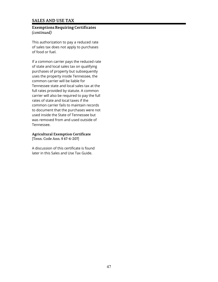# **Exemptions Requiring Certificates** *(continued)*

This authorization to pay a reduced rate of sales tax does not apply to purchases of food or fuel.

If a common carrier pays the reduced rate of state and local sales tax on qualifying purchases of property but subsequently uses the property inside Tennessee, the common carrier will be liable for Tennessee state and local sales tax at the full rates provided by statute. A common carrier will also be required to pay the full rates of state and local taxes if the common carrier fails to maintain records to document that the purchases were not used inside the State of Tennessee but was removed from and used outside of Tennessee.

## **Agricultural Exemption Certificate**

[Tenn. Code Ann. § 67-6-207]

A discussion of this certificate is found later in this Sales and Use Tax Guide.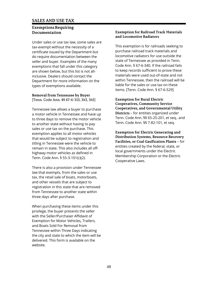## **Exemptions Requiring Documentation**

Under sales or use tax law, some sales are tax-exempt without the necessity of a certificate issued by the Department but do require documentation between the seller and buyer. Examples of the many exemptions that fall under this category are shown below, but this list is not allinclusive. Dealers should contact the Department for more information on the types of exemptions available.

## **Removal from Tennessee by Buyer**

[Tenn. Code Ann. §§ 67-6-313, 343, 345]

Tennessee law allows a buyer to purchase a motor vehicle in Tennessee and have up to three days to remove the motor vehicle to another state without having to pay sales or use tax on the purchase. This exemption applies to all motor vehicles that would be subject to registration and titling in Tennessee were the vehicle to remain in state. This also includes all offhighway motor vehicles as defined in Tenn. Code Ann. § 55-3-101(c)(2).

There is also a provision under Tennessee law that exempts, from the sales or use tax, the retail sale of boats, motorboats, and other vessels that are subject to registration in this state that are removed from Tennessee to another state within three days after purchase.

When purchasing these items under this privilege, the buyer presents the seller with the Seller/Purchaser Affidavit of Exemption for Motor Vehicles, Trailers, and Boats Sold For Removal from Tennessee within Three Days indicating the city and state to which the item will be delivered. This form is available on the website.

#### **Exemption for Railroad Track Materials and Locomotive Radiators**

This exemption is for railroads seeking to purchase railroad track materials and locomotive radiators for use outside the state of Tennessee as provided in Tenn. Code Ann. § 67-6-340. If the railroad fails to keep records sufficient to prove these materials were used out-of-state and not within Tennessee, then the railroad will be liable for the sales or use tax on these items. [Tenn. Code Ann. § 67-6-529]

**Exemption for Rural Electric Cooperatives, Community Service Cooperatives, and Governmental Utility Districts** – for entities organized under Tenn. Code Ann. §§ 65-25-201, et seq., and Tenn. Code Ann. §§ 7-82-101, et seq.

**Exemption for Electric Generating and Distribution Systems, Resource Recovery Facilities, or Coal Gasification Plants** – for entities created by the federal, state, or local governments under the Electric Membership Corporation or the Electric Cooperative Laws.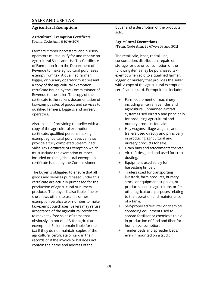## **Agricultural Exemptions**

#### **Agricultural Exemption Certificate** [Tenn. Code Ann. § 67-6-207]

Farmers, timber harvesters, and nursery operators must qualify for and receive an Agricultural Sales and Use Tax Certificate of Exemption from the Department of Revenue to make agricultural purchases exempt from tax. A qualified farmer, logger, or nursery operator must present a copy of the agricultural exemption certificate issued by the Commissioner of Revenue to the seller. The copy of the certificate is the seller's documentation of tax-exempt sales of goods and services to qualified farmers, loggers, and nursery operators.

Also, in lieu of providing the seller with a copy of the agricultural exemption certificate, qualified persons making exempt agricultural purchases can also provide a fully completed Streamlined Sales Tax Certificate of Exemption which must include the exemption number included on the agricultural exemption certificate issued by the Commissioner.

The buyer is obligated to ensure that all goods and services purchased under this certificate are actually purchased for the production of agricultural or nursery products. The buyer is also liable if he or she allows others to use his or her exemption certificate or number to make tax-exempt purchases. Sellers may refuse acceptance of the agricultural certificate to make tax-free sales of items that obviously do not qualify for agricultural exemption. Sellers remain liable for the tax if they do not maintain copies of the agricultural certificate or card in their records or if the invoice or bill does not contain the name and address of the

buyer and a description of the products sold.

**Agricultural Exemptions** [Tenn. Code Ann. §§ 67-6-207 and 301]

The retail sale, lease, rental, use, consumption, distribution, repair, or storage for use or consumption of the following items may be purchased taxexempt when sold to a qualified farmer, logger, or nursery that provides the seller with a copy of the agricultural exemption certificate or card. Exempt items include:

- + Farm equipment or machinery including all-terrain vehicles and agricultural unmanned aircraft systems used directly and principally for producing agricultural and nursery products for sale.
- + Hay wagons, silage wagons, and trailers used directly and principally in producing agricultural and nursery products for sale.
- + Grain bins and attachments thereto.
- + Aircraft designed and used for crop dusting.
- + Equipment used solely for harvesting timber.
- + Trailers used for transporting livestock, farm products, nursery stock, or equipment, supplies, or products used in agriculture, or for other agricultural purposes relating to the operation and maintenance of a farm.
- + Self-propelled fertilizer or chemical spreading equipment used to spread fertilizer or chemicals to aid in production of food and fiber for human consumption.
- + Tender beds and spreader beds, even if mounted on a truck.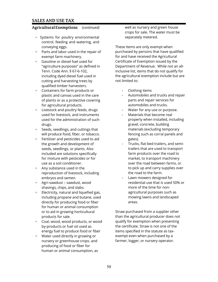## **Agricultural Exemptions** *(continued)*

- + Systems for poultry environmental control, feeding and watering, and conveying eggs.
- Parts and labor used in the repair of exempt farm machinery.
- + Gasoline or diesel fuel used for "agriculture purposes" as defined in Tenn. Code Ann. § 67-6-102, including dyed diesel fuel used in cutting and harvesting trees by qualified timber harvesters.
- + Containers for farm products or plastic and canvas used in the care of plants or as a protective covering for agricultural products.
- + Livestock and poultry feeds, drugs used for livestock, and instruments used for the administration of such drugs.
- + Seeds, seedlings, and cuttings that will produce food, fiber, or tobacco.
- + Fertilizer and pesticides used to aid the growth and development of seeds, seedlings, or plants. Also included are solutions specifically for mixture with pesticides or for use as a soil conditioner.
- + Any substance used in the reproduction of livestock, including embryos and semen.
- + Agri-sawdust sawdust, wood shavings, chips, and slabs.
- $+$  Electricity, natural and liquefied gas, including propane and butane, used directly for producing food or fiber for human or animal consumption or to aid in growing horticultural products for sale.
- + Coal, wood, wood products, or wood by-products or fuel oil used as energy fuel to produce food or fiber
- + Water used directly in growing or nursery or greenhouse crops. and producing of food or fiber for human or animal consumption, as

well as nursery and green house crops for sale. The water must be separately metered.

These items are only exempt when purchased by persons that have qualified for and have received the Agricultural Certificate of Exemption issued by the Department of Revenue. While not an allinclusive list, items that do not qualify for the agricultural exemption include but are not limited to:

- Clothing items
- + Automobiles and trucks and repair parts and repair services for automobiles and trucks.
- Water for any use or purpose.
- Materials that become real property when installed, including gravel, concrete, building materials (excluding temporary fencing such as corral panels and gates).
- Trucks, flat-bed trailers, and semitrailers that are used to transport farm products over the road to market, to transport machinery over the road between farms, or to pick up and carry supplies over the road to the farm.
- Lawn mowers designed for residential use that is used 50% or more of the time for nonagricultural purposes such as mowing lawns and landscaped areas.

Straw purchased from a supplier other than the agricultural producer does not qualify for exemption when presenting the certificate. Straw is not one of the items specified in the statute as taxexempt even when purchased by a farmer, logger, or nursery operator.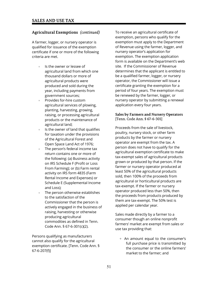# **Agricultural Exemptions** *(continued)*

A farmer, logger, or nursery operator is qualified for issuance of the exemption certificate if one or more of the following criteria are met.

- + Is the owner or lessee of agricultural land from which one thousand dollars or more of agricultural products were produced and sold during the year, including payments from government sources;
- + Provides for-hire custom agricultural services of plowing, planting, harvesting, growing, raising, or processing agricultural products or the maintenance of agricultural land;
- $+$  Is the owner of land that qualifies for taxation under the provisions of the Agricultural Forest and Open Space Land Act of 1976;
- The person's federal income tax return contains one or more of the following: (a) Business activity on IRS Schedule F (Profit or Loss From Farming); or (b) Farm rental activity on IRS form 4835 (Farm Rental Income and Expenses) or Schedule E (Supplemental Income and Loss);
- The person otherwise establishes to the satisfaction of the Commissioner that the person is actively engaged in the business of raising, harvesting or otherwise producing agricultural commodities as defined in Tenn. Code Ann. § 67-6-301(c)(2).

Persons qualifying as manufacturers cannot also qualify for the agricultural exemption certificate. [Tenn. Code Ann. § 67-6-207(f)]

To receive an agricultural certificate of exemption, persons who qualify for the exemption must apply to the Department of Revenue using the farmer, logger, and nursery operator's application for exemption. The exemption application form is available on the Department's web site. If the Commissioner of Revenue determines that the applicant is entitled to be a qualified farmer, logger, or nursery operator, the Commissioner will issue a certificate granting the exemption for a period of four years. The exemption must be renewed by the farmer, logger, or nursery operator by submitting a renewal application every four years.

#### **Sales by Farmers and Nursery Operators** [Tenn. Code Ann. § 67-6-301]

Proceeds from the sale of livestock, poultry, nursery stock, or other farm products by the farmer or nursery operator are exempt from the tax. A person does not have to qualify for the agricultural exemption certificate to make tax-exempt sales of agricultural products grown or produced by that person. If the farmer or nursery operator produced at least 50% of the agricultural products sold, then 100% of the proceeds from agricultural or horticultural products are tax-exempt. If the farmer or nursery operator produced less than 50%, then the proceeds from products produced by them are tax-exempt. The 50% test is applied per calendar year.

Sales made directly by a farmer to a consumer though an online nonprofit farmers' market are exempt from sales or use tax providing that:

+ An amount equal to the consumer's full purchase price is transmitted by the consumer or the online farmers' market to the farmer; and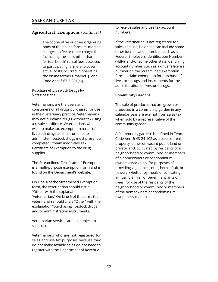# **Agricultural Exemptions** (*continued)*

+ The cooperative or other organizing body of the online farmers' market charges no fee or other charge for facilitating the sales other than "virtual booth" rental fees assessed to participating farmers to cover actual costs incurred in operating the online farmers' market. [Tenn. Code Ann. § 67-6-301(a)]

#### **Purchase of Livestock Drugs by Veterinarians**

Veterinarians are the users and consumers of all drugs purchased for use in their veterinary practice. Veterinarians may not purchase drugs without tax using a resale certificate. Veterinarians who wish to make tax-exempt purchases of livestock drugs and instruments to administer livestock drugs must present a completed Streamlined Sales Tax Certificate of Exemption to the drug supplier.

The Streamlined Certificate of Exemption is a multi-purpose exemption form and is found on the Department's website.

On Line 4 of the Streamlined Exemption form, the veterinarian should circle "Other" with the explanation "veterinarian." On Line 5 of the form, the veterinarian should circle "Other" with the explanation "purchasing livestock drugs and/or administration instruments."

Veterinarian services are not subject to sales tax.

Veterinarians who are not registered for sales and use tax purposes because they do not make taxable sales do not need to register with the Department of Revenue

to receive sales and use tax account numbers.

If the veterinarian is not registered for sales and use, he or she can include some other identification number, such as a Federal Employers Identification Number (FEIN), and/or some other state identifying account number, such as a driver's license number on the Streamlined exemption form to claim exemption for purchase of livestock drugs and instruments for the administration of livestock drugs.

## **Community Gardens**

The sale of products that are grown or produced in a community garden in any calendar year are exempt from sales tax when sold by a representative of the community garden.

A "community garden" is defined in Tenn. Code Ann. § 43-24-102 as a piece of real property, either on vacant public land or private land, cultivated by residents of a neighborhood or community, or members of a homeowners or condominium owners association, for purposes of providing vegetables, nuts, herbs, fruit, or flowers, whether by meals of cultivating annual, biennial, or perennial plants or trees, for use of the residents of the neighborhood or community or members of the homeowners or condominium owners association.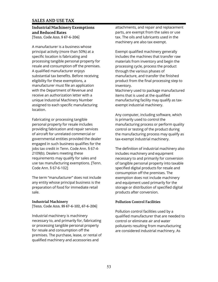#### **Industrial Machinery Exemptions and Reduced Rates** [Tenn. Code Ann. § 67-6-206]

A manufacturer is a business whose principal activity (more than 50%) at a specific location is fabricating and processing tangible personal property for resale and consumption off the premises. A qualified manufacturer enjoys substantial tax benefits. Before receiving eligibility for these exemptions, a manufacturer must file an application with the Department of Revenue and receive an authorization letter with a unique Industrial Machinery Number assigned to each specific manufacturing location.

Fabricating or processing tangible personal property for resale includes providing fabrication and repair services of aircraft for unrelated commercial or governmental entities provided the dealer engaged in such business qualifies for the jobs tax credit in Tenn. Code Ann. § 67-4- 2109(b). Dealers meeting these requirements may qualify for sales and use tax manufacturing exemptions. [Tenn. Code Ann. § 67-6-102]

The term "manufacturer" does not include any entity whose principal business is the preparation of food for immediate retail sale.

#### **Industrial Machinery**

[Tenn. Code Ann. §§ 67-6-102, 67-6-206]

Industrial machinery is machinery necessary to, and primarily for, fabricating or processing tangible personal property for resale and consumption off the premises. The purchase, lease, or rental of qualified machinery and accessories and

attachments, and repair and replacement parts, are exempt from the sales or use tax. The oils and lubricants used in the machinery are also tax exempt.

Exempt qualified machinery generally includes the machines that transfer raw materials from inventory and begin the processing cycle, process the product through the various phases of manufacture, and transfer the finished product from the final processing step to inventory.

Machinery used to package manufactured items that is used at the qualified manufacturing facility may qualify as taxexempt industrial machinery.

Any computer, including software, which is primarily used to control the manufacturing process or perform quality control or testing of the product during the manufacturing process may qualify as tax-exempt industrial machinery.

The definition of industrial machinery also includes machinery and equipment necessary to and primarily for conversion of tangible personal property into taxable specified digital products for resale and consumption off the premises. The exemption does not include machinery and equipment used primarily for the storage or distribution of specified digital products after conversion.

## **Pollution Control Facilities**

Pollution control facilities used by a qualified manufacturer that are needed to control or eliminate air and water pollutants resulting from manufacturing are considered industrial machinery. As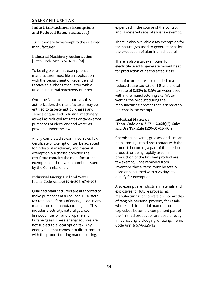## **Industrial Machinery Exemptions and Reduced Rates** *(continued)*

such, they are tax-exempt to the qualified manufacturer.

#### **Industrial Machinery Authorization** [Tenn. Code Ann. § 67-6-206(b)]

To be eligible for this exemption, a manufacturer must file an application with the Department of Revenue and receive an authorization letter with a unique industrial machinery number.

Once the Department approves this authorization, the manufacturer may be entitled to tax-exempt purchases and service of qualified industrial machinery as well as reduced tax rates or tax-exempt purchases of electricity and water as provided under the law.

A fully-completed Streamlined Sales Tax Certificate of Exemption can be accepted for industrial machinery and material exemption purchases provided the certificate contains the manufacturer's exemption authorization number issued by the Commissioner.

#### **Industrial Energy Fuel and Water** [Tenn. Code Ann. §§ 67-6-206, 67-6-702]

Qualified manufacturers are authorized to make purchases at a reduced 1.5% state tax rate on all forms of energy used in any manner on the manufacturing site. This includes electricity, natural gas, coal, firewood, fuel oil, and propane and butane gases. These energy sources are not subject to a local option tax. Any energy fuel that comes into direct contact with the product during manufacturing, is

expended in the course of the contact, and is metered separately is tax-exempt.

There is also available a tax exemption for the natural gas used to generate heat for the production of aluminum sheet foil.

There is also a tax exemption for electricity used to generate radiant heat for production of heat-treated glass.

Manufacturers are also entitled to a reduced state tax rate of 1% and a local tax rate of 0.33% to 0.5% on water used within the manufacturing site. Water wetting the product during the manufacturing process that is separately metered is tax-exempt.

#### **Industrial Materials**

[Tenn. Code Ann. § 67-6-206(b)(3), Sales and Use Tax Rule 1320-05-01-.40(2)]

Chemicals, solvents, greases, and similar items coming into direct contact with the product, becoming a part of the finished product, or being rapidly used in production of the finished product are tax-exempt. Once removed from inventory, these items must be totally used or consumed within 25 days to qualify for exemption.

Also exempt are industrial materials and explosives for future processing, manufacturing, or conversion into articles of tangible personal property for resale where such industrial materials or explosives become a component part of the finished product or are used directly in fabricating, dislodging, or sizing. [Tenn. Code Ann. § 67-6-329(12)]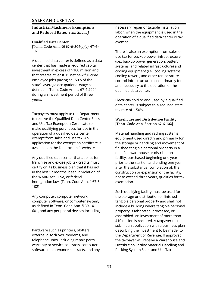## **Industrial Machinery Exemptions and Reduced Rates** *(continued)*

## **Qualified Data Center**

[Tenn. Code Ann. §§ 67-6-206(a)(c), 67-6- 102]

A qualified data center is defined as a data center that has made a required capital investment in excess of \$100 million and that creates at least 15 net new full-time employee jobs paying at 150% of the state's average occupational wage as defined in Tenn. Code Ann. § 67-4-2004 during an investment period of three years.

Taxpayers must apply to the Department to receive the Qualified Data Center Sales and Use Tax Exemption Certificate to make qualifying purchases for use in the operation of a qualified data center exempt from sales and use tax. An application for the exemption certificate is available on the Department's website.

Any qualified data center that applies for franchise and excise job tax credits must certify on its business plan that it has not, in the last 12 months, been in violation of the WARN Act, FLSA, or federal immigration law. [Tenn. Code Ann. § 67-6- 102]

Any computer, computer network, computer software, or computer system, as defined in Tenn. Code Ann. § 39-14- 601, and any peripheral devices including

hardware such as printers, plotters, external disc drives, modems, and telephone units, including repair parts, warranty or service contracts, computer software maintenance contracts, and any necessary repair or taxable installation labor, when the equipment is used in the operation of a qualified data center is tax exempt.

There is also an exemption from sales or use tax for backup power infrastructure (i.e., backup power generation, battery systems, and related infrastructure) and cooling equipment (i.e., cooling systems, cooling towers, and other temperature control infrastructure) used primarily for and necessary to the operation of the qualified data center.

Electricity sold to and used by a qualified data center is subject to a reduced state tax rate of 1.50%.

## **Warehouse and Distribution Facility** [Tenn. Code Ann. Section 67-6-102]

Material handling and racking systems equipment used directly and primarily for the storage or handling and movement of finished tangible personal property in a qualified warehouse or distribution facility, purchased beginning one year prior to the start of, and ending one year after the substantial completion of, the construction or expansion of the facility, not to exceed three years, qualifies for tax exemption.

Such qualifying facility must be used for the storage or distribution of finished tangible personal property and shall not include a building where tangible personal property is fabricated, processed, or assembled. An investment of more than \$10 million is required. A taxpayer must submit an application with a business plan describing the investment to be made, to the Department of Revenue. If approved, the taxpayer will receive a Warehouse and Distribution Facility Material Handling and Racking System Sales and Use Tax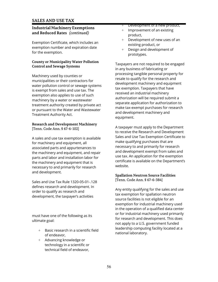## **Industrial Machinery Exemptions and Reduced Rates** *(continued)*

Exemption Certificate, which includes an exemption number and expiration date for the exemption.

## **County or Municipality Water Pollution Control and Sewage Systems**

Machinery used by counties or municipalities or their contractors for water pollution control or sewage systems is exempt from sales and use tax. The exemption also applies to use of such machinery by a water or wastewater treatment authority created by private act or pursuant to the Water and Wastewater Treatment Authority Act.

#### **Research and Development Machinery** [Tenn. Code Ann. § 67-6-102]

A sales and use tax exemption is available for machinery and equipment, all associated parts and appurtenances to the machinery and equipment, and repair parts and labor and installation labor for the machinery and equipment that is necessary to and primarily for research and development.

Sales and Use Tax Rule 1320-05-01-.128 defines research and development. In order to qualify as research and development, the taxpayer's activities

must have one of the following as its ultimate goal:

- + Basic research in a scientific field of endeavor,
- + Advancing knowledge or technology in a scientific or technical field of endeavor,
- + Development of a new product,
- + Improvement of an existing product,
- + Development of new uses of an existing product, or
- + Design and development of prototypes.

Taxpayers are not required to be engaged in any business of fabricating or processing tangible personal property for resale to qualify for the research and development machinery and equipment tax exemption. Taxpayers that have received an industrial machinery authorization will be required submit a separate application for authorization to make tax-exempt purchases for research and development machinery and equipment.

A taxpayer must apply to the Department to receive the Research and Development Sales and Use Tax Exemption Certificate to make qualifying purchases that are necessary to and primarily for research and development exempt from sales and use tax. An application for the exemption certificate is available on the Department's website.

## **Spallation Neutron Source Facilities** [Tenn. Code Ann. § 67-6-384]

Any entity qualifying for the sales and use tax exemption for spallation neutron source facilities is not eligible for an exemption for industrial machinery used in the operation of a qualified data center or for industrial machinery used primarily for research and development. This does not apply to a U.S. government funded leadership computing facility located at a national laboratory.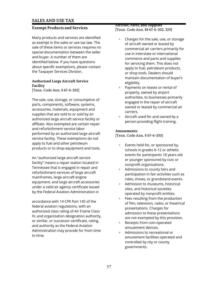## **Exempt Products and Services**

Many products and services are identified as exempt in the sales or use tax law. The sale of these items or services requires no special documentation between the seller and buyer. A number of them are identified below. If you have questions about specific exemptions, please contact the Taxpayer Services Division.

## **Authorized Large Aircraft Service Facility**

[Tenn. Code Ann. § 67-6-302]

The sale, use, storage, or consumption of parts, components, software, systems, accessories, materials, equipment and supplies that are sold to or sold by an authorized large aircraft service facility or affiliate. Also exempted are certain repair and refurbishment service labor performed by an authorized large aircraft service facility. These exemptions do not apply to fuel and other petroleum products or to shop equipment and tools.

An "authorized large aircraft service facility" means a repair station located in Tennessee that is engaged in repair and refurbishment services of large aircraft mainframes, large aircraft engine equipment, and large aircraft accessories under a valid air agency certificate issued by the Federal Aviation Administration in

accordance with 14 CFR Part 145 of the federal aviation regulations, with an authorized class rating of Air Frame Class IV, and organization designation authority, or similar, or successor certificate, rating, and authority as the Federal Aviation Administration may provide for from time to time.

#### **Aircraft, Parts, and Supplies** [Tenn. Code Ann. §§ 67-6-302, 329]

- + Charges for the sale, use, or storage of aircraft owned or leased by commercial air carriers primarily for use in interstate or international commerce and parts and supplies for servicing them. This does not apply to fuel, petroleum products, or shop tools. Dealers should maintain documentation of buyer's eligibility.
- Payments on leases or rental of property, owned by airport authorities, to businesses primarily engaged in the repair of aircraft owned or leased by commercial air carriers.
- + Aircraft used for and owned by a person providing flight training.

## **Amusements**

[Tenn. Code Ann. § 67-6-330]

- + Events held for, or sponsored by, schools in grades K-12 or athletic events for participants 18 years old or younger sponsored by civic or nonprofit organizations.
- Admissions to county fairs and participation in fair activities such as rides, shows, or grandstand events.
- Admission to museums, historical sites, and historical societies operated by nonprofit entities.
- Fees resulting from the production of film, television, radio, or theatrical presentations. Charges for admission to these presentations are not exempted by this provision.
- + Receipts from coin-operated amusement devices.
- Admissions to recreational or amusement facilities operated and controlled by city or county governments.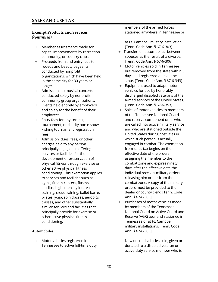## **Exempt Products and Services** *(continued)*

- + Member assessments made for capital improvements by recreation, community, or country clubs.
- + Proceeds from and entry fees to rodeos and beauty pageants, conducted by nonprofit organizations, which have been held in the same city for 30 years or longer.
- + Admissions to musical concerts conducted solely by nonprofit community group organizations.
- + Events held entirely by employers and solely for the benefit of their employees.
- + Entry fees for any contest, tournament, or charity horse show. Fishing tournament registration fees.
- + Admission, dues, fees, or other charges paid to any person principally engaged in offering services or facilities for the development or preservation of physical fitness through exercise or other active physical fitness conditioning. This exemption applies to services and facilities such as gyms, fitness centers, fitness studios, high intensity interval training, cross training, ballet barre, pilates, yoga, spin classes, aerobics classes, and other substantially similar services and facilities that principally provide for exercise or other active physical fitness conditioning.

#### **Automobiles**

+ Motor vehicles registered in Tennessee to active full-time duty members of the armed forces stationed anywhere in Tennessee or

at Ft. Campbell military installation. [Tenn. Code Ann. § 67-6-303]

- + Transfer of automobiles between spouses as the result of a divorce. [Tenn. Code Ann. § 67-6-306]
- + Motor vehicles sold in Tennessee but removed from the state within 3 days and registered outside the state. [Tenn. Code Ann. § 67-6-343]
- + Equipment used to adapt motor vehicles for use by honorably discharged disabled veterans of the armed services of the United States. [Tenn. Code Ann. § 67-6-353]
- + Sales of motor vehicles to members of the Tennessee National Guard and reserve component units who are called into active military service and who are stationed outside the United States during hostilities in which such person is actually engaged in combat. The exemption from sales tax begins on the effective date of the orders assigning the member to the combat zone and expires ninety days after the effective date the individual receives military orders releasing him or her from the combat zone. A copy of the military orders must be provided to the dealer or county clerk. [Tenn. Code Ann. § 67-6-303]
- + Purchases of motor vehicles made by members of the Tennessee National Guard on Active Guard and Reserve (AGR) tour and stationed in Tennessee or at Ft. Campbell military installations. [Tenn. Code Ann. § 67-6-303]

New or used vehicles sold, given or donated to a disabled veteran or active-duty service member who is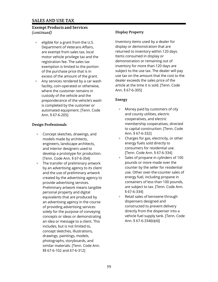## **Exempt Products and Services** *(continued)*

- $+$  eligible for a grant from the U.S. Department of Veterans Affairs, are exempt from sales tax, local motor vehicle privilege tax and the registration fee. The sales tax exemption is limited to the portion of the purchase price that is in excess of the amount of the grant.
- + Any services rendered by a car wash facility, coin-operated or otherwise, where the customer remains in custody of the vehicle and the preponderance of the vehicle's wash is completed by the customer or automated equipment. [Tenn. Code Ann. § 67-6-205]

## **Design Professionals**

- + Concept sketches, drawings, and models made by architects, engineers, landscape architects, and interior designers used to develop a prototype for production. [Tenn. Code Ann. § 67-6-354]
- + The transfer of preliminary artwork by an advertising agency to its client and the use of preliminary artwork created by the advertising agency to provide advertising services. Preliminary artwork means tangible personal property and digital equivalents that are produced by an advertising agency in the course of providing advertising services solely for the purpose of conveying concepts or ideas or demonstrating an idea or message to a client. This includes, but is not limited to, concept sketches, illustrations, drawings, paintings, models, photographs, storyboards, and similar materials. [Tenn. Code Ann. §§ 67-6-102 and 67-6-312]

## **Display Property**

Inventory items used by a dealer for display or demonstration that are returned to inventory within 120 days. Items consumed in display or demonstration or remaining out of inventory for more than 120 days are subject to the use tax. The dealer will pay use tax on the amount that the cost to the dealer exceeds the sales price of the article at the time it is sold. [Tenn. Code Ann. § 67-6-305]

## **Energy**

- + Money paid by customers of city and county utilities, electric cooperatives, and electric membership cooperatives, directed to capital construction. [Tenn. Code Ann. § 67-6-332]
- + Charges for gas, electricity, or other energy fuels sold directly to consumers for residential use. [Tenn. Code Ann. § 67-6-334]
- + Sales of propane in cylinders of 100 pounds or more made over the counter by the seller for residential use. Other over-the-counter sales of energy fuel, including propane in containers of less than 100 pounds, are subject to tax. [Tenn. Code Ann. § 67-6-334]
- Retail sales of kerosene through dispensers designed and constructed to prevent delivery directly from the dispenser into a vehicle fuel supply tank. [Tenn. Code Ann. § 67-6-334(b)(4)]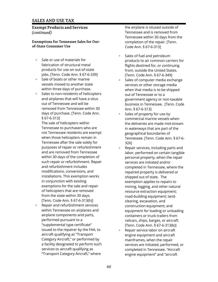## **Exempt Products and Services** *(continued)*

## **Exemptions for Tennessee Sales for Outof-State Consumer Use**

- + Sale or use of materials for jobs. [Tenn. Code Ann. § 67-6-339]
- $+$ Sale of boats or other marine<br>vessels moved to another state within three days of purchase.
- + Sales to non-residents of helicopters removed from Tennessee within 30 Ann. § 67-6-313] days of purchase. [Tenn. Code Ann.  $\qquad \qquad +$  Sales of property for use by

Tennessee to purchasers who are in waterways that are part of the not Tennessee residents are exempt geographical boundaries of Tennessee after the sale solely for  $326$ ]<br>purposes of repair or refurbishment  $\qquad +$  Repa such repair or refurbishment. Repair services are initiated and/or modifications, conversions, and repaired property is delivered or installations. This exemption works shipped out of state. The in conjunction with existing exemption applies to repairs to of helicopters that are removed resource extraction equipment; from the state within 30 days. The state of the state within 30 days. [Tenn. Code Ann. § 67-6-313(h)]

 $+$ Repair and refurbishment services airplane components and parts, example 20 and the containers or truck trailers from "supplemental type certificate" [Tenn. Code Ann. § 67-6-313(b)] issued to the repairer by the FAA, to  $+$  Repair service labor on aircraft aircraft qualifying as "Transport engine equipment and aircraft Category Aircraft," or performed by mainframes, when the repair

the airplane is sitused outside of Tennessee and is removed from Tennessee within 30 days from the completion of the repair. [Tenn. Code Ann. § 67-6-313]

- + Sales of fuel and petroleum products to air common carriers for fabrication of structural metal flights destined for, or continuing products for use on out-of-state from, outside the United States. [Tenn. Code Ann. § 67-6-349]
- Sales of computer media exchange services or other storage media when that media is to be shipped out of Tennessee or to a and airplanes that will have a situs<br>
out of Tennessee and will be<br>
pusiness in Tennessee Tenn, Code business in Tennessee. [Tenn. Code
- § 67-6-313] commercial marine vessels when The sale of helicopters within the deliveries are made mid-stream when those helicopters remain in Tennessee. [Tenn. Code Ann. § 67-6-
- $+$  Repair services, including parts and and are removed from Tennessee labor, performed on certain tangible within 30 days of the completion of personal property, when the repair and refurbishment includes completed in Tennessee, where the exemptions for the sale and repair many mining, logging, and other natural clearing, excavation, and construction equipment; and within Tennessee on airplanes and equipment for loading or unloading performed pursuant to a railcars, ships, barges, or aircraft.
- a facility designated to perform such services are initiated, performed, or services to aircraft qualifying as completed in Tennessee. "Aircraft" "Transport Category Aircraft," where engine equipment" and "aircraft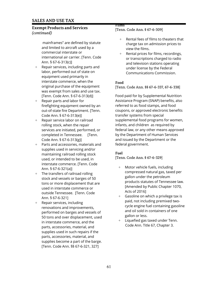## **Exempt Products and Services** *(continued)*

mainframes" are defined by statute and limited to aircraft used by a commercial interstate or international air carrier. [Tenn. Code Ann. § 67-6-313(c)]

- + Repair services, including parts and labor, performed out of state on equipment used primarily in interstate commerce, when the original purchase of the equipment was exempt from sales and use tax. [Tenn. Code Ann. § 67-6-313(d)]
- + Repair parts and labor for firefighting equipment owned by an out-of-state fire Department. [Tenn. Code Ann. § 67-6-313(e)]
- + Repair service labor on railroad rolling stock, when the repair services are initiated, performed, or completed in Tennessee. [Tenn. Code Ann. § 67-6-313(g)]
- + Parts and accessories, materials and supplies used in servicing and/or maintaining railroad rolling stock used, or intended to be used, in interstate commerce. [Tenn. Code Ann. § 67-6-321(a)]
- + The transfers of railroad rolling stock and vessels or barges of 50 tons or more displacement that are used in interstate commerce or outside Tennessee. [Tenn. Code Ann. § 67-6-321]
- + Repair services, including renovations and improvements, performed on barges and vessels of 50 tons and over displacement, used in interstate commerce, and the parts, accessories, material, and supplies used in such repairs if the parts, accessories, material, and supplies become a part of the barge. [Tenn. Code Ann. §§ 67-6-321, 327]

# **Films**

[Tenn. Code Ann. § 67-6-309]

- + Rental fees of films to theaters that charge tax on admission prices to view the films.
- + Rental prices for films, recordings, or transcriptions charged to radio and television stations operating under license by the Federal Communications Commission.

## **Food**

[Tenn. Code Ann. §§ 67-6-337, 67-6-338]

Food paid for by Supplemental Nutrition Assistance Program (SNAP) benefits, also referred to as food stamps, and food coupons, or approved electronic benefits transfer systems from special supplemental food programs for women, infants, and children as required by federal law, or any other means approved by the Department of Human Services and issued by the Department or the federal government.

# **Fuel**

[Tenn. Code Ann. § 67-6-329]

- Motor vehicle fuels, including compressed natural gas, taxed per gallon under the petroleum products statutes of Tennessee law. [Amended by Public Chapter 1070, Acts of 2016]
- + Gasoline on which a privilege tax is paid, not including premixed twocycle engine fuel containing gasoline and oil sold in containers of one gallon or less.
- + Liquefied gas taxed under Tenn. Code Ann. Title 67, Chapter 3.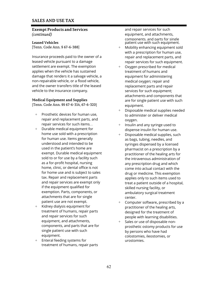#### **Exempt Products and Services** *(continued)*

Insurance proceeds paid to the owner of a repair and replacement parts, and leased vehicle pursuant to a damage repair services for such equipment. settlement are exempt. The exemption  $+$  Oxygen prescribed for medical applies when the vehicle has sustained treatment of humans and damage that renders it a salvage vehicle, a equipment for administering non-repairable vehicle, or a flood vehicle, medical oxygen; repair and and the owner transfers title of the leased replacement parts and repair vehicle to the insurance company. Services for such equipment;

#### **Medical Equipment and Supplies**

[Tenn. Code Ann. §§ 67-6-314, 67-6-320] equipment.

- + Prosthetic devices for human use, to administer or deliver medical repair and replacement parts, and oxygen.
- + Durable medical equipment for dispense insulin for human use. home use sold with a prescription  $+$  Disposable medical supplies, such for human use. Items generally<br>understood and intended to be example syringes dispensed by a licenunderstood and intended to be syringes dispensed by a licensed<br>used in the patient's home are sure synthesis in a prescription by a exemption. Parts, components, or ambulatory surgical treatment attachments that are for single<br>patient use are not exempt.  $\begin{array}{cccc} + & 0 & + \\ + & 0 & - \end{array}$
- + Kidney dialysis equipment for<br>treatment of humans, repair parts designed for the treatment of treatment of humans, repair parts<br>and repair services for such<br>and repair services for such<br>and repair people with learning disabilities and repair services for such people with learning disabilities.<br>  $\begin{array}{ccc} \epsilon \end{array}$  equipment, and attachments,  $\begin{array}{ccc} \epsilon \end{array}$  ales or use of disposable nonequipment, and attachments,  $\begin{array}{ccc} + & \text{Sales or use of disposeable non-}\ \text{components, and parts that are for} & \text{first order} & \text{first order} & \text{first order} \end{array}$ single patient use with such by persons who have had<br>equipment.
- + Enteral feeding systems for urostomies. treatment of humans, repair parts

and repair services for such equipment, and attachments, components, and parts for single **Leased Vehicles** patient use with such equipment.

- [Tenn. Code Ann. § 67-6-388]  $+$  Mobility enhancing equipment sold with a prescription for human use,
	- attachments and components that are for single patient use with such
	- Disposable medical supplies needed
	- repair services for such items. .  $\begin{array}{ccc}\n & + & \text{Insulin and any syringe used to}\n\end{array}$
	- used in the patient's home are end on the pharmacist on a prescription by a<br>exempt. Durable medical equipment end on the practitioner of the healing arts for practitioner of the healing arts for sold to or for use by a facility such<br>as a for-profit hospital, nursing<br>any prescription drug and which any prescription drug and which home, clinic, or dental office is not<br>for home use and is subject to sales<br>drug or medicine. This exemption for home use and is subject to sales drug or medicine. This exemption<br>tax. Repair and replacement parts and annual panolies only to such items used to tax. Repair and replacement parts<br>applies only to such items used to<br>treat a patient outside of a bospita and repair services are exempt only treat a patient outside of a hospital,<br>if the equipment qualified for the same skilled pursing facility or skilled nursing facility, or
		- Computer software, prescribed by a
		- prosthetic ostomy products for use colostomies, ileostomies, or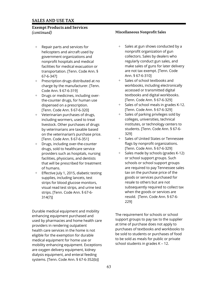## **Exempt Products and Services** *(continued)* **Miscellaneous Nonprofit Sales**

- helicopters and aircraft used by nonprofit organization of gun 67-6-347] Ann. § 67-6-310]
- + Prescription drugs distributed at no  $+$  Sales of school textbooks and Code Ann. § 67-6-319] accessed or transmitted digital
- + Drugs or medicines, including over-<br>
textbooks and digital workbooks. the-counter drugs, for human use [Tenn. Code Ann. § 67-6-329] [Tenn. Code Ann. § 67-6-320] [Tenn. Code Ann. § 67-6-329]
- + Veterinarian purchases of drugs,  $+$  Sales of parking privileges sold by including wormers, used to treat colleges, universities, technical on the veterinarian's purchase price. 329]
- + Drugs, including over-the-counter flags by nonprofit organizations. drugs, sold to healthcare service [Tenn. Code Ann. § 67-6-329] facilities, physicians, and dentists or school support groups. Such
- supplies, including lancets, test goods or services purchased for strips for blood glucose monitors, resale to others but are not strips. [Tenn. Code Ann. § 67-6- when the goods or services are 314(7)] resold. [Tenn. Code Ann. § 67-6-

Durable medical equipment and mobility enhancing equipment purchased and used by pharmacies and home health care providers in rendering outpatient health care services in the home is not eligible for the exemption for durable medical equipment for home use or mobility enhancing equipment. Exceptions are oxygen delivery equipment, kidney dialysis equipment, and enteral feeding systems. [Tenn. Code Ann. § 67-6-352(b)]

- + Repair parts and services for  $+$  Sales at gun shows conducted by a government organizations and **collectors.** Sales by dealers who nonprofit hospitals and medical regularly conduct gun sales, and facilities for medical evacuation or make sales of guns for later delivery transportation. [Tenn. Code Ann. § are not tax exempt. [Tenn. Code
	- charge by the manufacturer. [Tenn. workbooks, including electronically
	- dispensed on a prescription.  $\qquad \qquad +$  Sales of school meals in grades K-12.
	- livestock. Other purchases of drugs institutes, or technology centers to by veterinarians are taxable based students. [Tenn. Code Ann. § 67-6-
	- [Tenn. Code Ann. § 67-6-351] + Sales of United States or Tennessee
- providers such as hospitals, nursing  $+$  Sales made by schools (grades K-12) that will be prescribed for treatment schools or school support groups of humans. are required to pay Tennessee sales Effective July 1, 2015, diabetic testing tax on the purchase price of the visual read test strips, and urine test subsequently required to collect tax 229]

The requirement for schools or school support groups to pay tax to the supplier at time of purchase does not apply to purchases of textbooks and workbooks to be sold to students or purchases of food to be sold as meals for public or private school students in grades K – 12.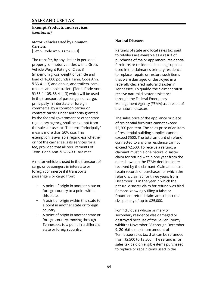**Exempt Products and Services** *(continued)*

# **Motor Vehicles Used by Common Carriers**

[Tenn. Code Ann. § 67-6-331]

The transfer, by any dealer in personal property, of motor vehicles with a Gross Vehicle Weight Rating of Class 3 (maximum gross weight of vehicle and load of 16,000 pounds) [Tenn. Code Ann. § 55-4-113] and above, and trailers, semitrailers, and pole-trailers [Tenn. Code Ann. §§ 55-1-105, 55-4-113] which will be used in the transport of passengers or cargo, principally in interstate or foreign commerce, by a common carrier or contract carrier under authority granted by the federal government or other state regulatory agency, shall be exempt from the sales or use tax. The term "principally" means more than 50% use*.* This exemption is available regardless whether or not the carrier sells its services for a fee, provided that all requirements of Tenn. Code Ann. § 67-6-331 are met.

A motor vehicle is used in the transport of cargo or passengers in interstate or foreign commerce if it transports passengers or cargo from:

- + A point of origin in another state or foreign country to a point within this state.
- + A point of origin within this state to a point in another state or foreign country.
- + A point of origin in another state or foreign country, moving through Tennessee, to a point in a different state or foreign country**.**

#### **Natural Disasters**

Refunds of state and local sales tax paid to retailers are available as a result of purchases of major appliances, residential furniture, or residential building supplies used in the claimant's primary residence to replace, repair, or restore such items that were damaged or destroyed in a federally-declared natural disaster in Tennessee. To qualify, the claimant must receive natural disaster assistance through the Federal Emergency Management Agency (FEMA) as a result of the natural disaster.

The sales price of the appliance or piece of residential furniture cannot exceed \$3,200 per item. The sales price of an item of residential building supplies cannot exceed \$500. The total amount of refund connected to any one residence cannot exceed \$2,500. To receive a refund, a claimant must file one natural disaster claim for refund within one year from the date shown on the FEMA decision letter received by the claimant. Claimants must retain records of purchases for which the refund is claimed for three years from December 31 in the year in which the natural disaster claim for refund was filed. Persons knowingly filing a false or fraudulent refund claim are subject to a civil penalty of up to \$25,000.

For individuals whose primary or secondary residence was damaged or destroyed because of the Sevier County wildfires November 28 through December 9, 2016,the maximum amount of Tennessee sales tax that can be refunded from \$2,500 to \$3,500. The refund is for sales tax paid on eligible items purchased to replace or repair items used in the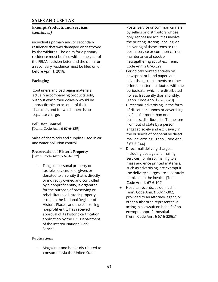## **Exempt Products and Services** *(continued)*

individual's primary and/or secondary residence that was damaged or destroyed by the wildfires. The claim for a primary residence must be filed within one year of the FEMA decision letter and the claim for a secondary residence must be filed on or before April 1, 2018.

# **Packaging**

Containers and packaging materials actually accompanying products sold, without which their delivery would be impracticable on account of their character, and for which there is no separate charge.

## **Pollution Control**

[Tenn. Code Ann. § 67-6-329]

Sales of chemicals and supplies used in air and water pollution control.

# **Preservation of Historic Property**

[Tenn. Code Ann. § 67-6-322]

+ Tangible personal property or taxable services sold, given, or donated to an entity that is directly or indirectly owned and controlled by a nonprofit entity, is organized for the purpose of preserving or rehabilitating a historic property listed on the National Register of Historic Places, and the controlling nonprofit entity has received approval of its historic certification application by the U.S. Department of the Interior National Park Service.

## **Publications**

+ Magazines and books distributed to consumers via the United States

Postal Service or common carriers by sellers or distributors whose only Tennessee activities involve the printing, storing, labeling, or delivering of these items to the postal service or common carrier*,*  maintenance of stock or newsgathering activities. [Tenn. Code Ann. § 67-6-329]

- + Periodicals printed entirely on newsprint or bond paper, and advertising supplements or other printed matter distributed with the periodicals, which are distributed no less frequently than monthly. [Tenn. Code Ann. § 67-6-329]
- + Direct mail advertising, in the form of discount coupons or advertising leaflets for more than one business, distributed in Tennessee from out of state by a person engaged solely and exclusively in the business of cooperative direct mail advertising. [Tenn. Code Ann. § 67-6-344]
- + Direct mail delivery charges, including postage and mailing services, for direct mailing to a mass audience printed materials, such as advertising, are exempt if the delivery charges are separately itemized on the invoice. [Tenn. Code Ann. § 67-6-102]
- + Hospital records, as defined in Tenn. Code Ann. § 68-11-302, provided to an attorney, agent, or other authorized representative acting in a lawsuit on behalf of an exempt nonprofit hospital. [Tenn. Code Ann. § 67-6-329(a)]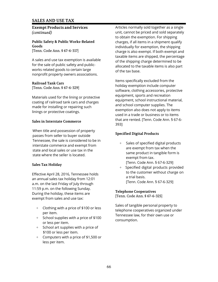**Exempt Products and Services** *(continued)*

**Public Safety & Public Works-Related Goods** [Tenn. Code Ann. § 67-6-317]

A sales and use tax exemption is available for the sale of public safety and publicworks related goods to certain large nonprofit property owners associations.

#### **Railroad Tank Cars**

[Tenn. Code Ann. § 67-6-329]

Materials used for the lining or protective coating of railroad tank cars and charges made for installing or repairing such linings or protective coatings.

#### **Sales in Interstate Commerce**

When title and possession of property passes from seller to buyer outside Tennessee, the sale is considered to be in interstate commerce and exempt from state and local sales or use tax in the state where the seller is located.

#### **Sales Tax Holiday**

Effective April 28, 2016, Tennessee holds an annual sales tax holiday from 12:01 a.m. on the last Friday of July through 11:59 p.m. on the following Sunday. During the holiday, these items are exempt from sales and use tax:

- + Clothing with a price of \$100 or less per item.
- + School supplies with a price of \$100 or less per item.
- + School art supplies with a price of \$100 or less per item.
- + Computers with a price of \$1,500 or less per item.

Articles normally sold together as a single unit, cannot be priced and sold separately to obtain the exemption. For shipping charges, if all items in a shipment qualify individually for exemption, the shipping charge is also exempt. If both exempt and taxable items are shipped, the percentage of the shipping charge determined to be allocated to the taxable items is also part of the tax base.

Items specifically excluded from the holiday exemption include computer software, clothing accessories, protective equipment, sports and recreation equipment, school instructional material, and school computer supplies. The exemption also does not apply to items used in a trade or business or to items that are rented. [Tenn. Code Ann. § 67-6- 393]

#### **Specified Digital Products**

- + Sales of specified digital products are exempt from tax when the same product in tangible form is exempt from tax. [Tenn. Code Ann. § 67-6-329]
- + Specified digital products provided to the customer without charge on a trial basis. [Tenn. Code Ann. § 67-6-329]

#### **Telephone Cooperatives**

[Tenn. Code Ann. § 67-6-325]

Sales of tangible personal property to telephone cooperatives organized under Tennessee law, for their own use or consumption.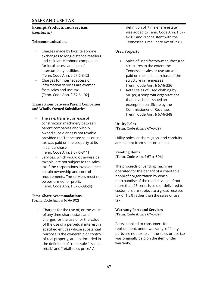## **Exempt Products and Services** *(continued)*

## **Telecommunications**

- + Charges made by local telephone exchanges to long-distance resellers and cellular telephone companies for local access and use of intercompany facilities. [Tenn. Code Ann. § 67-6-342]
- + Charges for internet access or information services are exempt from sales and use tax. [Tenn. Code Ann. § 67-6-102]

#### **Transactions between Parent Companies and Wholly Owned Subsidiaries**

- + The sale, transfer, or lease of construction machinery between parent companies and wholly owned subsidiaries is not taxable provided the Tennessee sales or use tax was paid on the property at its initial purchase. [Tenn. Code Ann. § 67-6-311]
- + Services, which would otherwise be taxable, are not subject to the sales tax if the corporations involved meet certain ownership and control requirements. The services must not be performed for profit. [Tenn. Code Ann. § 67-6-395(b)]

# **Time-Share Accommodations**

[Tenn. Code Ann. § 67-6-102]

+ Charges for the use of, or the value of any time-share estate and charges for the use of or the value of the use of a perpetual interest in specified entities whose substantial purpose is the ownership or control of real property, are not included in the definition of "retail sale," "sale at retail," and "retail sales price." A

definition of "time-share estate" was added to Tenn. Code Ann. § 67- 6-102 and is consistent with the Tennessee Time Share Act of 1981.

# **Used Property**

- + Sales of used factory-manufactured structures to the extent the Tennessee sales or use tax was paid on the initial purchase of the structure in Tennessee. [Tenn. Code Ann. § 67-6-336]
- + Retail sales of used clothing by 501(c)(3) nonprofit organizations that have been issued an exemption certificate by the Commissioner of Revenue. [Tenn. Code Ann. § 67-6-348]

## **Utility Poles**

[Tenn. Code Ann. § 67-6-329]

Utility poles, anchors, guys, and conduits are exempt from sales or use tax.

## **Vending Items**

[Tenn. Code Ann. § 67-4-506]

The proceeds of vending machines operated for the benefit of a charitable nonprofit organization by which merchandise of the market value of not more than 25 cents is sold or delivered to customers are subject to a gross receipts tax of 1.5% rather than the sales or use tax.

**Warranty Parts and Services** [Tenn. Code Ann. § 67-6-324]

Parts supplied to consumers for replacement, under warranty, of faulty parts are not taxable if the sales or use tax was originally paid on the item under warranty.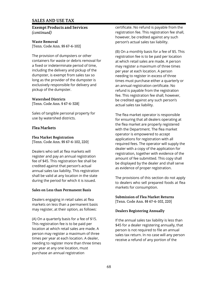#### **Exempt Products and Services** *(continued)*

## **Waste Removal** [Tenn. Code Ann. §§ 67-6-102]

The provision of dumpsters or other containers for waste or debris removal for a fixed or indeterminate period of time, including the delivery and pickup of the dumpster, is exempt from sales tax so long as the provider of the dumpster is exclusively responsible for delivery and pickup of the dumpster.

## **Watershed Districts**

[Tenn. Code Ann. § 67-6-328]

Sales of tangible personal property for use by watershed districts.

## **Flea Markets**

#### **Flea Market Registration** [Tenn. Code Ann. §§ 67-6-102, 220]

Dealers who sell at flea markets will register and pay an annual registration fee of \$45. This registration fee shall be credited against that person's actual annual sales tax liability. This registration shall be valid at any location in the state during the period for which it is issued.

#### **Sales on Less than Permanent Basis**

Dealers engaging in retail sales at flea markets on less than a permanent basis may register, at their option, as follows:

(A) On a quarterly basis for a fee of \$15. This registration fee is to be paid per location at which retail sales are made. A person may register a maximum of three times per year at each location. A dealer, needing to register more than three times per year at any one location, must purchase an annual registration

certificate. No refund is payable from the registration fee. This registration fee shall, however, be credited against any such person's actual sales tax liability.

(B) On a monthly basis for a fee of \$5. This registration fee is to be paid per location at which retail sales are made. A person may register a maximum of three times per year at each location. A person needing to register in excess of three times must purchase either a quarterly or an annual registration certificate. No refund is payable from the registration fee. This registration fee shall, however, be credited against any such person's actual sales tax liability.

The flea market operator is responsible for ensuring that all dealers operating at the flea market are properly registered with the Department. The flea market operator is empowered to accept applications for registration with all required fees. The operator will supply the dealer with a copy of the application for registration, together with evidence of the amount of fee submitted. This copy shall be displayed by the dealer and shall serve as evidence of proper registration.

The provisions of this section do not apply to dealers who sell prepared foods at flea markets for consumption.

**Submission of Flea Market Returns** [Tenn. Code Ann. §§ 67-6-102, 220]

## **Dealers Registering Annually**

If the annual sales tax liability is less than \$45 for a dealer registering annually, that person is not required to file an annual sales tax return. In no case will any person receive a refund of any portion of the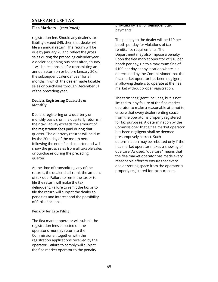# **Flea Markets** *(continued)*

registration fee. Should any dealer's tax liability exceed \$45, then that dealer will file an annual return. The return will be due by January 20 and reflect the gross sales during the preceding calendar year. A dealer beginning business after January 1 will be responsible for transmitting an annual return on or before January 20 of the subsequent calendar year for all months in which the dealer made taxable sales or purchases through December 31 of the preceding year.

#### **Dealers Registering Quarterly or Monthly**

Dealers registering on a quarterly or monthly basis shall file quarterly returns if their tax liability exceeds the amount of the registration fees paid during that quarter. The quarterly returns will be due by the 20th day of the month next following the end of each quarter and will show the gross sales from all taxable sales or purchases during the preceding quarter.

At the time of transmitting any of the returns, the dealer shall remit the amount of tax due. Failure to remit the tax or to file the return will make the tax delinquent. Failure to remit the tax or to file the return will subject the dealer to penalties and interest and the possibility of further actions.

# **Penalty for Late Filing**

The flea market operator will submit the registration fees collected on the operator's monthly return to the Commissioner, together with the registration applications received by the operator. Failure to comply will subject the flea market operator to the penalty

provided by law for delinquent tax payments.

The penalty to the dealer will be \$10 per booth per day for violations of tax remittance requirements. The Department may also impose a penalty upon the flea market operator of \$10 per booth per day, up to a maximum fine of \$100 per day at any location where it is determined by the Commissioner that the flea market operator has been negligent in allowing dealers to operate at the flea market without proper registration.

The term "negligent" includes, but is not limited to, any failure of the flea market operator to make a reasonable attempt to ensure that every dealer renting space from the operator is properly registered for tax purposes. A determination by the Commissioner that a flea market operator has been negligent shall be deemed presumptively correct. Such determination may be rebutted only if the flea market operator makes a showing of due care. As used, "due care" means that the flea market operator has made every reasonable effort to ensure that every dealer renting space from the operator is properly registered for tax purposes.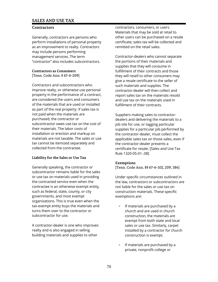#### **Contractors**

Generally, contractors are persons who perform installations of personal property as an improvement to realty. Contractors may include persons performing management services. The term "contractor" also includes subcontractors.

#### **Contractors as Consumers**

[Tenn. Code Ann. § 67-6-209]

Contractors and subcontractors who improve realty, or otherwise use personal property in the performance of a contract, are considered the users and consumers of the materials that are used or installed as part of the real property. If sales tax is not paid when the materials are purchased, the contractor or subcontractor owes use tax on the cost of their materials. The labor costs of installation or erection and markup on materials are not taxable. The sales or use tax cannot be itemized separately and collected from the contractee.

# **Liability for the Sales or Use Tax**

Generally speaking, the contractor or subcontractor remains liable for the sales or use tax on materials used in providing the contracted service even when the contractee is an otherwise exempt entity, such as federal, state, county, or city governments, and most exempt organizations. This is true even when the tax-exempt entity buys the materials and turns them over to the contractor or subcontractor for use.

A contractor-dealer is one who improves realty and is also engaged in selling building materials and supplies to other

contractors, consumers, or users. Materials that may be sold at retail to other users can be purchased on a resale certificate; sales tax will be collected and remitted on the retail sales.

Contractor-dealers who cannot separate the portions of their materials and supplies that they will consume in fulfillment of their contracts and those they will resell to other consumers may give a resale certificate to the seller of such materials and supplies. The contractor-dealer will then collect and report sales tax on the materials resold and use tax on the materials used in fulfillment of their contracts.

Suppliers making sales to contractordealers and delivering the materials to a job site for use, or tagging particular supplies for a particular job performed by the contractor-dealer, must collect the applicable sales tax on those sales, even if the contractor-dealer presents a certificate for resale. [Sales and Use Tax Rule 1320-05-01-.08]

## **Exemptions**

[Tenn. Code Ann. §§ 67-6-102, 209, 384]

Under specific circumstances outlined in the law, contractors or subcontractors are not liable for the sales or use tax on construction materials. These specific exemptions are:

- + If materials are purchased by a church and are used in church construction, the materials are exempt from both state and local sales or use tax. Similarly, carpet installed by a contractor for church construction is exempt.
- + If materials are purchased by a private, nonprofit college or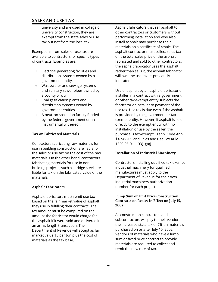university and are used in college or university construction, they are exempt from the state sales or use tax but not from the local tax.

Exemptions from sales or use tax are available to contractors for specific types of contracts. Examples are:

- + Electrical generating facilities and distribution systems owned by a government entity.
- + Wastewater and sewage systems and sanitary sewer pipes owned by a county or city.
- + Coal gasification plants and distribution systems owned by government entities.
- + A neutron spallation facility funded by the federal government or an instrumentality thereof.

#### **Tax on Fabricated Materials**

Contractors fabricating raw materials for use in building construction are liable for the sales or use tax on the cost of the raw materials. On the other hand, contractors fabricating materials for use in nonbuilding projects, such as bridge steel, are liable for tax on the fabricated value of the materials.

## **Asphalt Fabricators**

Asphalt fabricators must remit use tax based on the fair market value of asphalt they use in fulfilling their contracts. The tax amount must be computed on the amount the fabricator would charge for the asphalt if it were sold and delivered in an arm's length transaction. The Department of Revenue will accept as fair market value \$5 per ton plus the cost of materials as the tax base.

Asphalt fabricators that sell asphalt to other contractors or customers without performing installation and who also install asphalt may purchase their materials on a certificate of resale. The asphalt contractor must collect sales tax on the total sales price of the asphalt fabricated and sold to other contractors. If the asphalt fabricator uses the asphalt rather than sells it, the asphalt fabricator will owe the use tax as previously indicated.

Use of asphalt by an asphalt fabricator or installer in a contract with a government or other tax-exempt entity subjects the fabricator or installer to payment of the use tax. Use tax is due even if the asphalt is provided by the government or taxexempt entity. However, if asphalt is sold directly to the exempt entity with no installation or use by the seller, the purchase is tax-exempt. [Tenn. Code Ann. § 67-6-209 and Sales and Use Tax Rule 1320-05-01-1.03(1)(a)]

## **Installation of Industrial Machinery**

Contractors installing qualified tax-exempt industrial machinery for qualified manufactures must apply to the Department of Revenue for their own industrial machinery authorization number for each project.

#### **Lump Sum or Unit Price Construction Contracts on Realty in Effect on July 15, 2002**

All construction contractors and subcontractors will pay to their vendors the increased state tax of 7% on materials purchased on or after July 15, 2002. Vendors of materials who have a lump sum or fixed price contract to provide materials are required to collect and remit the new rate of tax.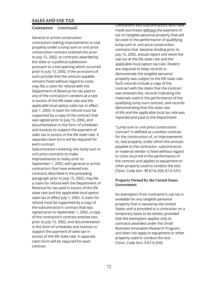## **Contractors** *(continued)*

General or prime construction contractors making improvements to real property under a lump sum or unit price construction contract entered into prior to July 15, 2002, or contracts awarded by the state or a political subdivision pursuant to a bid opening which occurred prior to July 15, 2002, if the provisions of such provide that the amount payable remains fixed without regard to costs, may file a claim for refund with the Department of Revenue for tax paid to any of the contractor's vendors at a rate in excess of the 6% state rate and the applicable local option sales tax in effect July 1, 2002. A claim for refund must be supported by a copy of the contract that was signed prior to July 15, 2002, and documentation in the form of schedules and invoices to support the payment of sales tax in excess of the 6% state rate. A separate claim form will be required for each contract.

Subcontractors entering into lump sum or unit price contracts to make improvements to realty prior to September 1, 2002, with general or prime contractors that have entered into contracts described in the preceding paragraph prior to July 15, 2002, may file a claim for refund with the Department of Revenue for tax paid in excess of the 6% state rate and the applicable local option sales tax in effect July 1, 2002. A claim for refund must be supported by a copy of the subcontractor's contract that was signed prior to September 1, 2002, a copy of the contractor's contract entered into prior to July 15, 2002, and documentation in the form of schedules and invoices to support the payment of sales tax in excess of the 6% state rate. A separate claim form will be required for each contract.

Contractors and subcontractors who have made purchases without the payment of tax on tangible personal property that will be used in the performance of qualifying lump sum or unit price construction contracts that became binding prior to July 15, 2002, should report and remit the use tax at the 6% state rate and the applicable local option tax rate. Dealers are required to keep records to demonstrate the tangible personal property was subject to the 6% state rate. Such records include a copy of the contract with the dates that the contract was entered into, records indicating the materials used in the performance of the qualifying lump sum contract, and records demonstrating that the state rate of 6% and the applicable local tax rate was reported and paid to the Department

"Lump sum or unit price construction contract" is defined as a written contract for the construction of, or improvements to, real property under which the amount payable to the contractor, subcontractor, or material vendor is fixed without regard to costs incurred in the performance of the contract and applies to equipment or other property used to conduct the test. [Tenn. Code Ann. §§ 67-6-209; 67-6-541]

#### **Property Owned by the United States Government**

An exemption from contractor's use tax is available for any tangible personal property that is owned by the United States and is provided to a contractor on a temporary basis to be tested, provided that the exemption applies only to contracts awarded under the Small Business Innovation Research Program, and does not apply to equipment or other property used to conduct the test. [Tenn. Code Ann. § 67-6-209]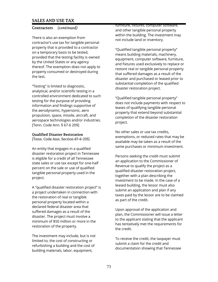## **Contractors** *(continued)*

There is also an exemption from contractor's use tax for tangible personal property that is provided to a contractor on a temporary basis to be tested, provided that the testing facility is owned by the United States or any agency thereof. The exemption does not apply to property consumed or destroyed during the test.

"Testing" is limited to diagnostic, analytical, and/or scientific testing in a controlled environment dedicated to such testing for the purpose of providing information and findings supportive of the aerodynamic, hypersonic, aero propulsion, space, missile, aircraft, and aerospace technologies and/or industries. [Tenn. Code Ann. § 67-6 209]

## **Qualified Disaster Restoration**

[Tenn. Code Ann. Section 67-6-235]

An entity that engages in a qualified disaster restoration project in Tennessee is eligible for a credit of all Tennessee state sales or use tax except for one-half percent on the sale or use of qualified tangible personal property used in the project.

A "qualified disaster restoration project" is a project undertaken in connection with the restoration of real or tangible personal property located within a declared federal disaster area that suffered damages as a result of the disaster. The project must involve a minimum of \$50 million or more in the restoration of the property.

The investment may include, but is not limited to, the cost of constructing or refurbishing a building and the cost of building materials, labor, equipment,

furniture, fixtures, computer software, and other tangible personal property within the building. The investment may not include land or inventory.

"Qualified tangible personal property" means building materials, machinery, equipment, computer software, furniture, and fixtures used exclusively to replace or restore real or tangible personal property that suffered damages as a result of the disaster and purchased or leased prior to substantial completion of the qualified disaster restoration project.

"Qualified tangible personal property" does not include payments with respect to leases of qualifying tangible personal property that extend beyond substantial completion of the disaster restoration project.

No other sales or use tax credits, exemptions, or reduced rates that may be available may be taken as a result of the same purchases or minimum investment.

Persons seeking the credit must submit an application to the Commissioner of Revenue to qualify the project as a qualified disaster restoration project, together with a plan describing the investment to be made. In the case of a leased building, the lessor must also submit an application and plan if any taxes paid by the lessor are to be claimed as part of the credit.

Upon approval of the application and plan, the Commissioner will issue a letter to the applicant stating that the applicant has tentatively met the requirements for the credit.

To receive the credit, the taxpayer must submit a claim for the credit and documentation showing that Tennessee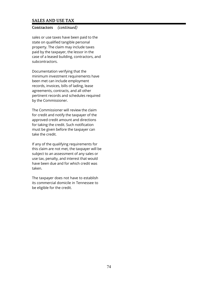## **Contractors** *(continued)*

sales or use taxes have been paid to the state on qualified tangible personal property. The claim may include taxes paid by the taxpayer, the lessor in the case of a leased building, contractors, and subcontractors.

Documentation verifying that the minimum investment requirements have been met can include employment records, invoices, bills of lading, lease agreements, contracts, and all other pertinent records and schedules required by the Commissioner.

The Commissioner will review the claim for credit and notify the taxpayer of the approved credit amount and directions for taking the credit. Such notification must be given before the taxpayer can take the credit.

If any of the qualifying requirements for this claim are not met, the taxpayer will be subject to an assessment of any sales or use tax, penalty, and interest that would have been due and for which credit was taken.

The taxpayer does not have to establish its commercial domicile in Tennessee to be eligible for the credit.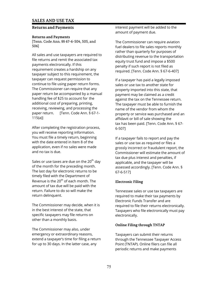## **Returns and Payments**

#### **Returns and Payments**

[Tenn. Code Ann. §§ 67-6-504, 505, and 506]

All sales and use taxpayers are required to file returns and remit the associated tax payments electronically. If this requirement creates a hardship on any taxpayer subject to this requirement, the taxpayer can request permission to continue to file using paper return forms. The Commissioner can require that any paper return be accompanied by a manual handling fee of \$25 to account for the additional cost of preparing, printing, receiving, reviewing, and processing the paper return. [Tenn. Code Ann. § 67-1- 115(a)]

After completing the registration process, you will receive reporting information. You must file a timely return, beginning with the date entered in Item 8 of the application, even if no sales were made and no tax is due.

Sales or use taxes are due on the 20<sup>th</sup> day of the month for the preceding month. The last day for electronic returns to be timely filed with the Department of Revenue is the  $20<sup>th</sup>$  of each month. The amount of tax due will be paid with the return. Failure to do so will make the return delinquent.

The Commissioner may decide, when it is in the best interest of the state, that specific taxpayers may file returns on other than a monthly basis.

The Commissioner may also, under emergency or extraordinary reasons, extend a taxpayer's time for filing a return for up to 30 days. In the latter case, any

interest payment will be added to the amount of payment due.

The Commissioner can require aviation fuel dealers to file sales reports monthly rather than quarterly for purposes of distributing revenue to the transportation equity trust fund and impose a \$500 penalty if such report is not filed as required. [Tenn. Code Ann. § 67-6-407]

If a taxpayer has paid a legally imposed sales or use tax to another state for property imported into this state, that payment may be claimed as a credit against the tax on the Tennessee return. The taxpayer must be able to furnish the name of the vendor from whom the property or service was purchased and an affidavit or bill of sale showing the tax has been paid. [Tenn. Code Ann. § 67- 6-507]

If a taxpayer fails to report and pay the sales or use tax as required or files a grossly incorrect or fraudulent report, the Commissioner will estimate the amount of tax due plus interest and penalties, if applicable, and the taxpayer will be assessed accordingly. [Tenn. Code Ann. § 67-6-517]

## **Electronic Filing**

Tennessee sales or use tax taxpayers are required to make their tax payments by Electronic Funds Transfer and are required to file their returns electronically. Taxpayers who file electronically must pay electronically.

## **Online Filing through TNTAP**

Taxpayers can submit their returns through the Tennessee Taxpayer Access Point (TNTAP). Online filers can file all periodic returns and make payments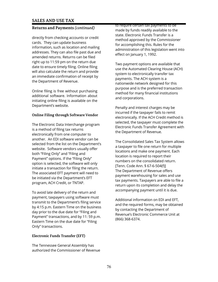## **Returns and Payments** *(continued)*

directly from checking accounts or credit cards. They can update business information, such as location and mailing addresses. They can also file past due and amended returns. Returns can be filed right up to 11:59 pm on the return due date to ensure timely filing. Online filing will also calculate the return and provide an immediate confirmation of receipt by the Department of Revenue.

Online filing is free without purchasing additional software. Information about initiating online filing is available on the Department's website.

### **Online Filing through Software Vendor**

The Electronic Data Interchange program is a method of filing tax returns electronically from one computer to another. An EDI software vendor can be selected from the list on the Department's website. Software vendors usually offer both "Filing Only" and "Filing and Payment" options. If the "Filing Only" option is selected, the software will only initiate a transaction for filing the return. The associated EFT payment will need to be initiated via the Department's EFT program, ACH Credit, or TNTAP.

To avoid late delivery of the return and payment, taxpayers using software must transmit to the Department's filing service by 4:15 p.m. Eastern Time on the business day prior to the due date for "Filing and Payment" transactions, and by 11: 59 p.m. Eastern Time on the due date for "Filing Only" transactions.

## **Electronic Funds Transfer (EFT)**

The Tennessee General Assembly has authorized the Commissioner of Revenue to require certain tax payments to be made by funds readily available to the state. Electronic Funds Transfer is a method approved by the Commissioner for accomplishing this. Rules for the administration of this legislation went into effect on January 1, 1992.

Two payment options are available that use the Automated Clearing House (ACH) system to electronically transfer tax payments. The ACH system is a nationwide network designed for this purpose and is the preferred transaction method for many financial institutions and corporations.

Penalty and interest charges may be incurred if the taxpayer fails to remit electronically. If the ACH Credit method is selected, the taxpayer must complete the Electronic Funds Transfer Agreement with the Department of Revenue.

The Consolidated Sales Tax System allows a taxpayer to file one return for multiple locations and make one payment. Each location is required to report their numbers on the consolidated return. [Tenn. Code Ann. § 67-6-504(f)] The Department of Revenue offers payment warehousing for sales and use tax payments. Taxpayers are able to file a return upon its completion and delay the accompanying payment until it is due.

Additional information on EDI and EFT, and the required forms, may be obtained by contacting the Department of Revenue's Electronic Commerce Unit at (866) 368-6374.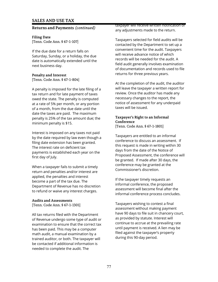#### **Returns and Payments** *(continued)*

**Filing Date** [Tenn. Code Ann. § 67-1-107]

If the due date for a return falls on Saturday, Sunday, or a holiday, the due date is automatically extended until the next business day.

#### **Penalty and Interest** [Tenn. Code Ann. § 67-1-804]

A penalty is imposed for the late filing of a tax return and for late payment of taxes owed the state. The penalty is computed at a rate of 5% per month, or any portion of a month, from the due date until the date the taxes are paid. The maximum penalty is 25% of the tax amount due; the minimum penalty is \$15.

Interest is imposed on any taxes not paid by the date required by law even though a filing date extension has been granted. The interest rate on deficient tax payments is established each year on the first day of July.

When a taxpayer fails to submit a timely return and penalties and/or interest are applied, the penalties and interest become a part of the tax due. The Department of Revenue has no discretion to refund or waive any interest charges.

#### **Audits and Assessments** [Tenn. Code Ann. § 67-1-1301]

All tax returns filed with the Department of Revenue undergo some type of audit or examination to ensure that the correct tax has been paid. This may be a computer math audit, a manual examination by a trained auditor, or both. The taxpayer will be contacted if additional information is needed to complete the audit. The

taxpayer will receive written notification of any adjustments made to the return.

Taxpayers selected for field audits will be contacted by the Department to set up a convenient time for the audit. Taxpayers will receive advance notice of which records will be needed for the audit. A field audit generally involves examination of documentation and records used to file returns for three previous years.

At the completion of the audit, the auditor will leave the taxpayer a written report for review. Once the auditor has made any necessary changes to the report, the notice of assessment for any underpaid taxes will be issued.

#### **Taxpayer's Right to an Informal Conference** [Tenn. Code Ann. § 67-1-1801]

Taxpayers are entitled to an informal conference to discuss an assessment. If this request is made in writing within 30 days from the date of the Notice of Proposed Assessment, the conference will be granted. If made after 30 days, the conference may be granted at the Commissioner's discretion.

If the taxpayer timely requests an informal conference, the proposed assessment will become final after the informal conference process concludes.

Taxpayers wishing to contest a final assessment without making payment have 90 days to file suit in chancery court, as provided by statute. Interest will continue to accrue at the prevailing rate until payment is received. A lien may be filed against the taxpayer's property during this 90-day period.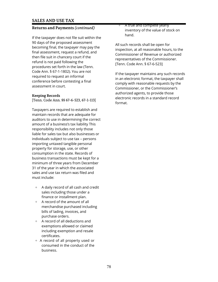## **Returns and Payments** *(continued)*

If the taxpayer does not file suit within the 90 days of the proposed assessment becoming final, the taxpayer may pay the final assessment, request a refund, and then file suit in chancery court if the refund is not paid following the procedures set forth in the law (Tenn. Code Ann. § 67-1-1802). You are not required to request an informal conference before contesting a final assessment in court.

## **Keeping Records**

[Tenn. Code Ann. §§ 67-6-523, 67-1-113]

Taxpayers are required to establish and maintain records that are adequate for auditors to use in determining the correct amount of a business's tax liability This responsibility includes not only those liable for sales tax but also businesses or individuals subject to use tax – persons importing untaxed tangible personal property for storage, use, or other consumption in the state. Records of business transactions must be kept for a minimum of three years from December 31 of the year in which the associated sales and use tax return was filed and must include:

- + A daily record of all cash and credit sales including those under a finance or installment plan.
- + A record of the amount of all merchandise purchased including bills of lading, invoices, and purchase orders.
- + A record of all deductions and exemptions allowed or claimed including exemption and resale certificates.
- + A record of all property used or consumed in the conduct of the business.

A true and complete yearly inventory of the value of stock on hand.

All such records shall be open for inspection, at all reasonable hours, to the Commissioner of Revenue or authorized representatives of the Commissioner. [Tenn. Code Ann. § 67-6-523]

If the taxpayer maintains any such records in an electronic format, the taxpayer shall comply with reasonable requests by the Commissioner, or the Commissioner's authorized agents, to provide those electronic records in a standard record format.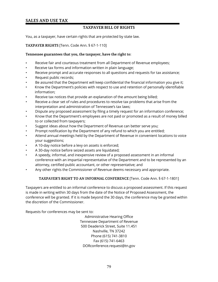## **TAXPAYER BILL OF RIGHTS**

You, as a taxpayer, have certain rights that are protected by state law.

**TAXPAYER RIGHTS** [Tenn. Code Ann. § 67-1-110]

### **Tennessee guarantees that you, the taxpayer, have the right to:**

- Receive fair and courteous treatment from all Department of Revenue employees;
- Receive tax forms and information written in plain language;
- Receive prompt and accurate responses to all questions and requests for tax assistance;
- Request public records;
- Be assured that the Department will keep confidential the financial information you give it;
- Know the Department's policies with respect to use and retention of personally identifiable information;
- Receive tax notices that provide an explanation of the amount being billed;
- Receive a clear set of rules and procedures to resolve tax problems that arise from the interpretation and administration of Tennessee's tax laws;
- Dispute any proposed assessment by filing a timely request for an information conference;
- Know that the Department's employees are not paid or promoted as a result of money billed to or collected from taxpayers;
- Suggest ideas about how the Department of Revenue can better serve you;
- Prompt notification by the Department of any refund to which you are entitled;
- Attend annual meetings held by the Department of Revenue in convenient locations to voice your suggestions;
- A 10-day notice before a levy on assets is enforced;
- A 30-day notice before seized assets are liquidated;
- A speedy, informal, and inexpensive review of a proposed assessment in an informal conference with an impartial representative of the Department and to be represented by an attorney, certified public accountant, or other representative; and
- Any other rights the Commissioner of Revenue deems necessary and appropriate.

## **TAXPAYER'S RIGHT TO AN INFORMAL CONFERENCE** [Tenn. Code Ann. § 67-1-1801]

Taxpayers are entitled to an informal conference to discuss a proposed assessment. If this request is made in writing within 30 days from the date of the Notice of Proposed Assessment, the conference will be granted. If it is made beyond the 30 days, the conference may be granted within the discretion of the Commissioner.

Requests for conferences may be sent to:

Administrative Hearing Office Tennessee Department of Revenue 500 Deaderick Street, Suite 11.451 Nashville, TN 37242 Phone (615) 741-3810 Fax (615) 741-6463 DORconference.request@tn.gov